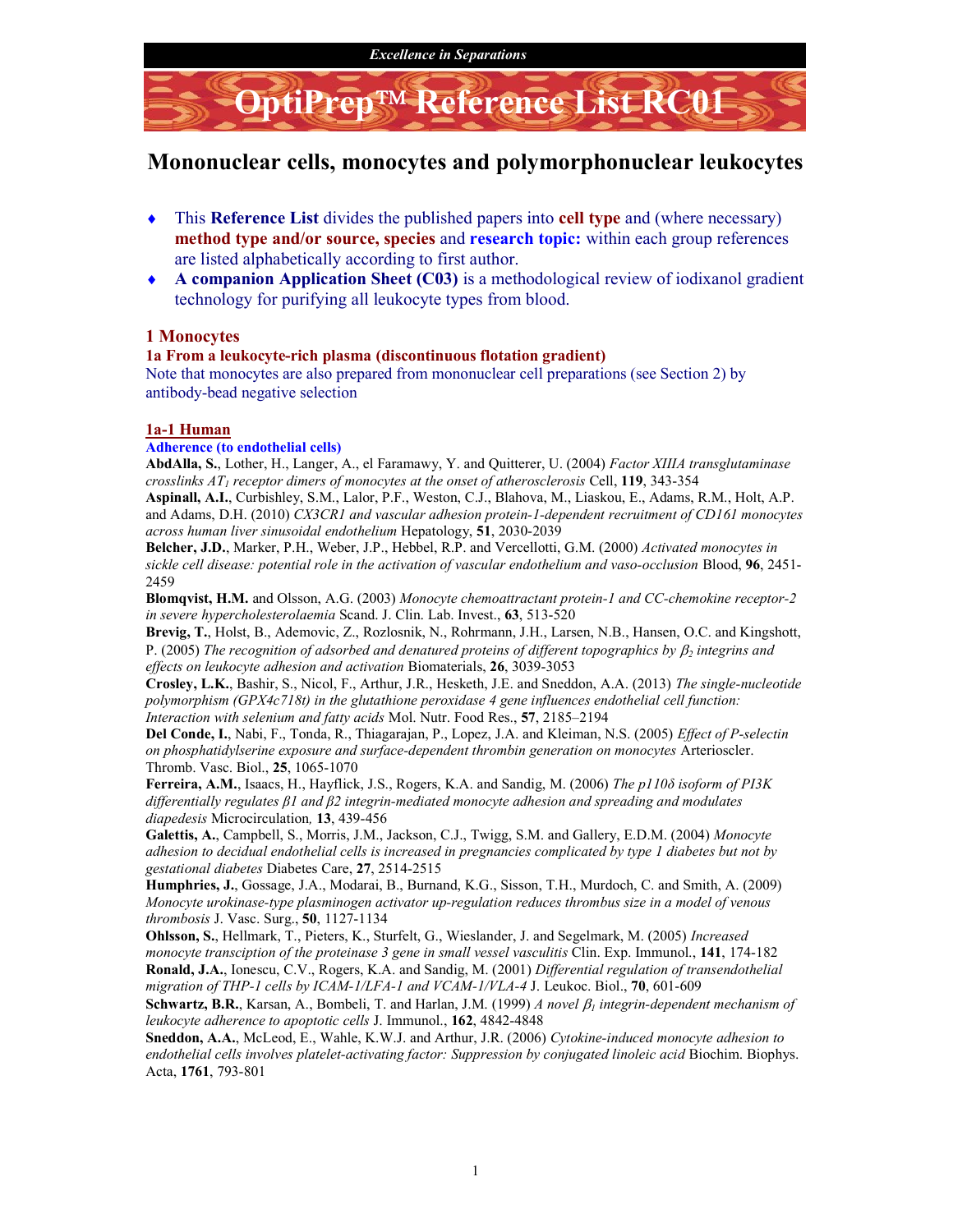

# Mononuclear cells, monocytes and polymorphonuclear leukocytes

- $\bullet$  This Reference List divides the published papers into cell type and (where necessary) method type and/or source, species and research topic: within each group references are listed alphabetically according to first author.
- $\triangle$  A companion Application Sheet (C03) is a methodological review of iodixanol gradient technology for purifying all leukocyte types from blood.

## 1 Monocytes

## 1a From a leukocyte-rich plasma (discontinuous flotation gradient)

Note that monocytes are also prepared from mononuclear cell preparations (see Section 2) by antibody-bead negative selection

## 1a-1 Human

## Adherence (to endothelial cells)

AbdAlla, S., Lother, H., Langer, A., el Faramawy, Y. and Quitterer, U. (2004) Factor XIIIA transglutaminase crosslinks  $AT_1$  receptor dimers of monocytes at the onset of atherosclerosis Cell, 119, 343-354

Aspinall, A.I., Curbishley, S.M., Lalor, P.F., Weston, C.J., Blahova, M., Liaskou, E., Adams, R.M., Holt, A.P. and Adams, D.H. (2010) CX3CR1 and vascular adhesion protein-1-dependent recruitment of CD161 monocytes across human liver sinusoidal endothelium Hepatology, 51, 2030-2039

Belcher, J.D., Marker, P.H., Weber, J.P., Hebbel, R.P. and Vercellotti, G.M. (2000) Activated monocytes in sickle cell disease: potential role in the activation of vascular endothelium and vaso-occlusion Blood, 96, 2451-2459

Blomqvist, H.M. and Olsson, A.G. (2003) Monocyte chemoattractant protein-1 and CC-chemokine receptor-2 in severe hypercholesterolaemia Scand. J. Clin. Lab. Invest., 63, 513-520

Brevig, T., Holst, B., Ademovic, Z., Rozlosnik, N., Rohrmann, J.H., Larsen, N.B., Hansen, O.C. and Kingshott, P. (2005) The recognition of adsorbed and denatured proteins of different topographics by  $\beta_2$  integrins and effects on leukocyte adhesion and activation Biomaterials, 26, 3039-3053

Crosley, L.K., Bashir, S., Nicol, F., Arthur, J.R., Hesketh, J.E. and Sneddon, A.A. (2013) The single-nucleotide polymorphism (GPX4c718t) in the glutathione peroxidase 4 gene influences endothelial cell function: Interaction with selenium and fatty acids Mol. Nutr. Food Res., 57, 2185–2194

Del Conde, I., Nabi, F., Tonda, R., Thiagarajan, P., Lopez, J.A. and Kleiman, N.S. (2005) Effect of P-selectin on phosphatidylserine exposure and surface-dependent thrombin generation on monocytes Arterioscler. Thromb. Vasc. Biol., 25, 1065-1070

Ferreira, A.M., Isaacs, H., Hayflick, J.S., Rogers, K.A. and Sandig, M. (2006) The p110δ isoform of PI3K differentially regulates  $\beta$ 1 and  $\beta$ 2 integrin-mediated monocyte adhesion and spreading and modulates diapedesis Microcirculation, 13, 439-456

Galettis, A., Campbell, S., Morris, J.M., Jackson, C.J., Twigg, S.M. and Gallery, E.D.M. (2004) Monocyte adhesion to decidual endothelial cells is increased in pregnancies complicated by type 1 diabetes but not by gestational diabetes Diabetes Care, 27, 2514-2515

Humphries, J., Gossage, J.A., Modarai, B., Burnand, K.G., Sisson, T.H., Murdoch, C. and Smith, A. (2009) Monocyte urokinase-type plasminogen activator up-regulation reduces thrombus size in a model of venous thrombosis J. Vasc. Surg., 50, 1127-1134

Ohlsson, S., Hellmark, T., Pieters, K., Sturfelt, G., Wieslander, J. and Segelmark, M. (2005) Increased monocyte transciption of the proteinase 3 gene in small vessel vasculitis Clin. Exp. Immunol., 141, 174-182 Ronald, J.A., Ionescu, C.V., Rogers, K.A. and Sandig, M. (2001) Differential regulation of transendothelial migration of THP-1 cells by ICAM-1/LFA-1 and VCAM-1/VLA-4 J. Leukoc. Biol., 70, 601-609

Schwartz, B.R., Karsan, A., Bombeli, T. and Harlan, J.M. (1999) A novel  $\beta_i$  integrin-dependent mechanism of leukocyte adherence to apoptotic cells J. Immunol., 162, 4842-4848

Sneddon, A.A., McLeod, E., Wahle, K.W.J. and Arthur, J.R. (2006) Cytokine-induced monocyte adhesion to endothelial cells involves platelet-activating factor: Suppression by conjugated linoleic acid Biochim. Biophys. Acta, 1761, 793-801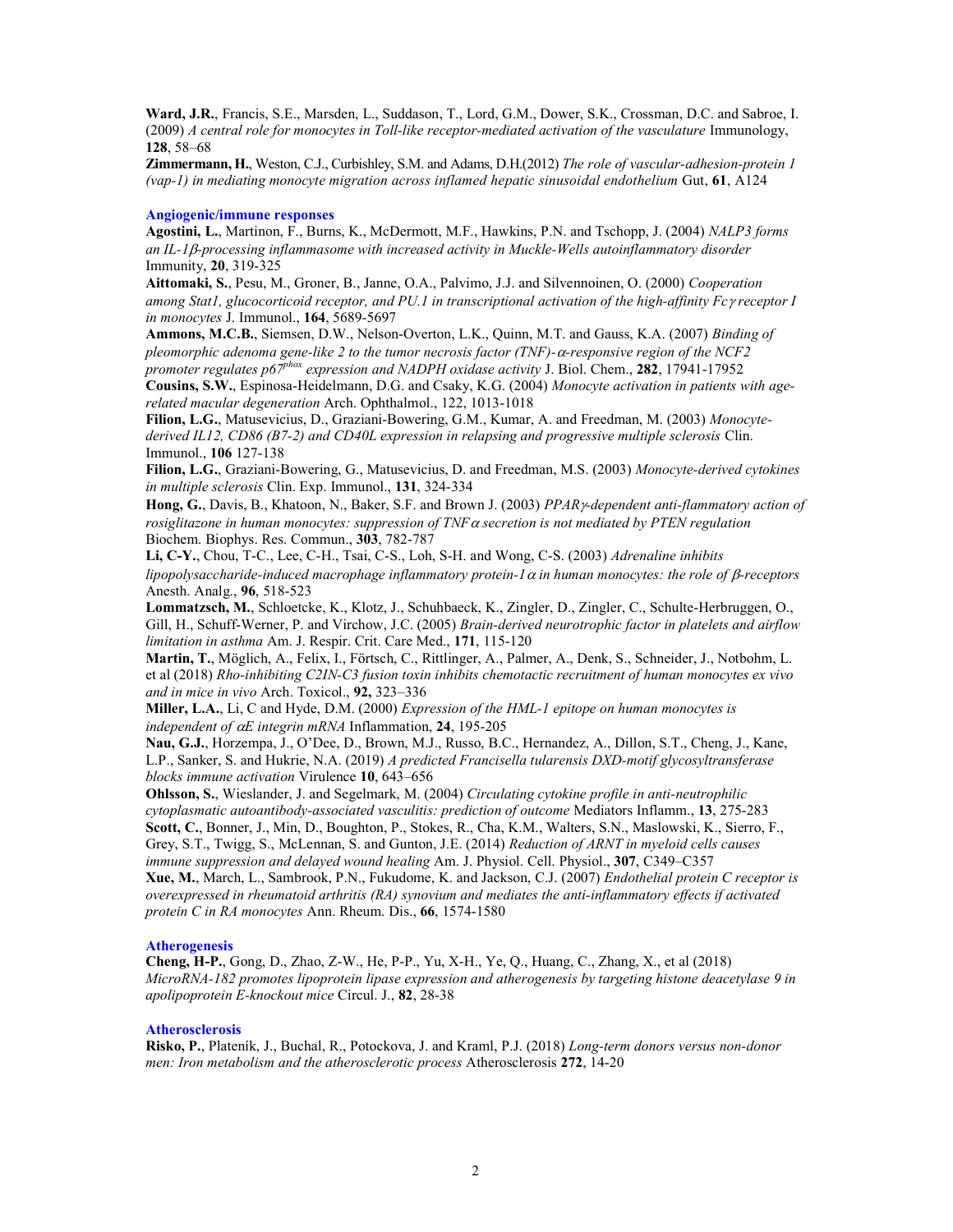Ward, J.R., Francis, S.E., Marsden, L., Suddason, T., Lord, G.M., Dower, S.K., Crossman, D.C. and Sabroe, I. (2009) A central role for monocytes in Toll-like receptor-mediated activation of the vasculature Immunology, 128, 58–68

Zimmermann, H., Weston, C.J., Curbishley, S.M. and Adams, D.H.(2012) The role of vascular-adhesion-protein 1 (vap-1) in mediating monocyte migration across inflamed hepatic sinusoidal endothelium Gut,  $61, A124$ 

### Angiogenic/immune responses

Agostini, L., Martinon, F., Burns, K., McDermott, M.F., Hawkins, P.N. and Tschopp, J. (2004) NALP3 forms an IL-1ß-processing inflammasome with increased activity in Muckle-Wells autoinflammatory disorder Immunity, 20, 319-325

Aittomaki, S., Pesu, M., Groner, B., Janne, O.A., Palvimo, J.J. and Silvennoinen, O. (2000) Cooperation among Stat1, glucocorticoid receptor, and PU.1 in transcriptional activation of the high-affinity  $Fcy$  receptor I in monocytes J. Immunol., 164, 5689-5697

Ammons, M.C.B., Siemsen, D.W., Nelson-Overton, L.K., Quinn, M.T. and Gauss, K.A. (2007) Binding of pleomorphic adenoma gene-like 2 to the tumor necrosis factor (TNF)- $\alpha$ -responsive region of the NCF2 promoter regulates p6 $\bar{p}^{phox}$  expression and NADPH oxidase activity J. Biol. Chem., 282, 17941-17952

Cousins, S.W., Espinosa-Heidelmann, D.G. and Csaky, K.G. (2004) Monocyte activation in patients with agerelated macular degeneration Arch. Ophthalmol., 122, 1013-1018

Filion, L.G., Matusevicius, D., Graziani-Bowering, G.M., Kumar, A. and Freedman, M. (2003) Monocytederived IL12, CD86 (B7-2) and CD40L expression in relapsing and progressive multiple sclerosis Clin. Immunol., 106 127-138

Filion, L.G., Graziani-Bowering, G., Matusevicius, D. and Freedman, M.S. (2003) Monocyte-derived cytokines in multiple sclerosis Clin. Exp. Immunol., 131, 324-334

Hong, G., Davis, B., Khatoon, N., Baker, S.F. and Brown J. (2003) PPARy-dependent anti-flammatory action of rosiglitazone in human monocytes: suppression of  $TNF\alpha$  secretion is not mediated by PTEN regulation Biochem. Biophys. Res. Commun., 303, 782-787

Li, C-Y., Chou, T-C., Lee, C-H., Tsai, C-S., Loh, S-H. and Wong, C-S. (2003) Adrenaline inhibits lipopolysaccharide-induced macrophage inflammatory protein-1 $\alpha$  in human monocytes: the role of  $\beta$ -receptors Anesth. Analg., 96, 518-523

Lommatzsch, M., Schloetcke, K., Klotz, J., Schuhbaeck, K., Zingler, D., Zingler, C., Schulte-Herbruggen, O., Gill, H., Schuff-Werner, P. and Virchow, J.C. (2005) Brain-derived neurotrophic factor in platelets and airflow limitation in asthma Am. J. Respir. Crit. Care Med., 171, 115-120

Martin, T., Möglich, A., Felix, I., Förtsch, C., Rittlinger, A., Palmer, A., Denk, S., Schneider, J., Notbohm, L. et al (2018) Rho-inhibiting C2IN-C3 fusion toxin inhibits chemotactic recruitment of human monocytes ex vivo and in mice in vivo Arch. Toxicol., 92, 323–336

Miller, L.A., Li, C and Hyde, D.M. (2000) Expression of the HML-1 epitope on human monocytes is independent of  $\alpha E$  integrin mRNA Inflammation, 24, 195-205

Nau, G.J., Horzempa, J., O'Dee, D., Brown, M.J., Russo, B.C., Hernandez, A., Dillon, S.T., Cheng, J., Kane, L.P., Sanker, S. and Hukrie, N.A. (2019) A predicted Francisella tularensis DXD-motif glycosyltransferase blocks immune activation Virulence 10, 643–656

Ohlsson, S., Wieslander, J. and Segelmark, M. (2004) Circulating cytokine profile in anti-neutrophilic cytoplasmatic autoantibody-associated vasculitis: prediction of outcome Mediators Inflamm., 13, 275-283 Scott, C., Bonner, J., Min, D., Boughton, P., Stokes, R., Cha, K.M., Walters, S.N., Maslowski, K., Sierro, F., Grey, S.T., Twigg, S., McLennan, S. and Gunton, J.E. (2014) Reduction of ARNT in myeloid cells causes immune suppression and delayed wound healing Am. J. Physiol. Cell. Physiol., 307, C349-C357 Xue, M., March, L., Sambrook, P.N., Fukudome, K. and Jackson, C.J. (2007) Endothelial protein C receptor is overexpressed in rheumatoid arthritis (RA) synovium and mediates the anti-inflammatory effects if activated protein C in RA monocytes Ann. Rheum. Dis., 66, 1574-1580

#### **Atherogenesis**

Cheng, H-P., Gong, D., Zhao, Z-W., He, P-P., Yu, X-H., Ye, Q., Huang, C., Zhang, X., et al (2018) MicroRNA-182 promotes lipoprotein lipase expression and atherogenesis by targeting histone deacetylase 9 in apolipoprotein E-knockout mice Circul. J., 82, 28-38

#### Atherosclerosis

Risko, P., Plateník, J., Buchal, R., Potockova, J. and Kraml, P.J. (2018) Long-term donors versus non-donor men: Iron metabolism and the atherosclerotic process Atherosclerosis 272, 14-20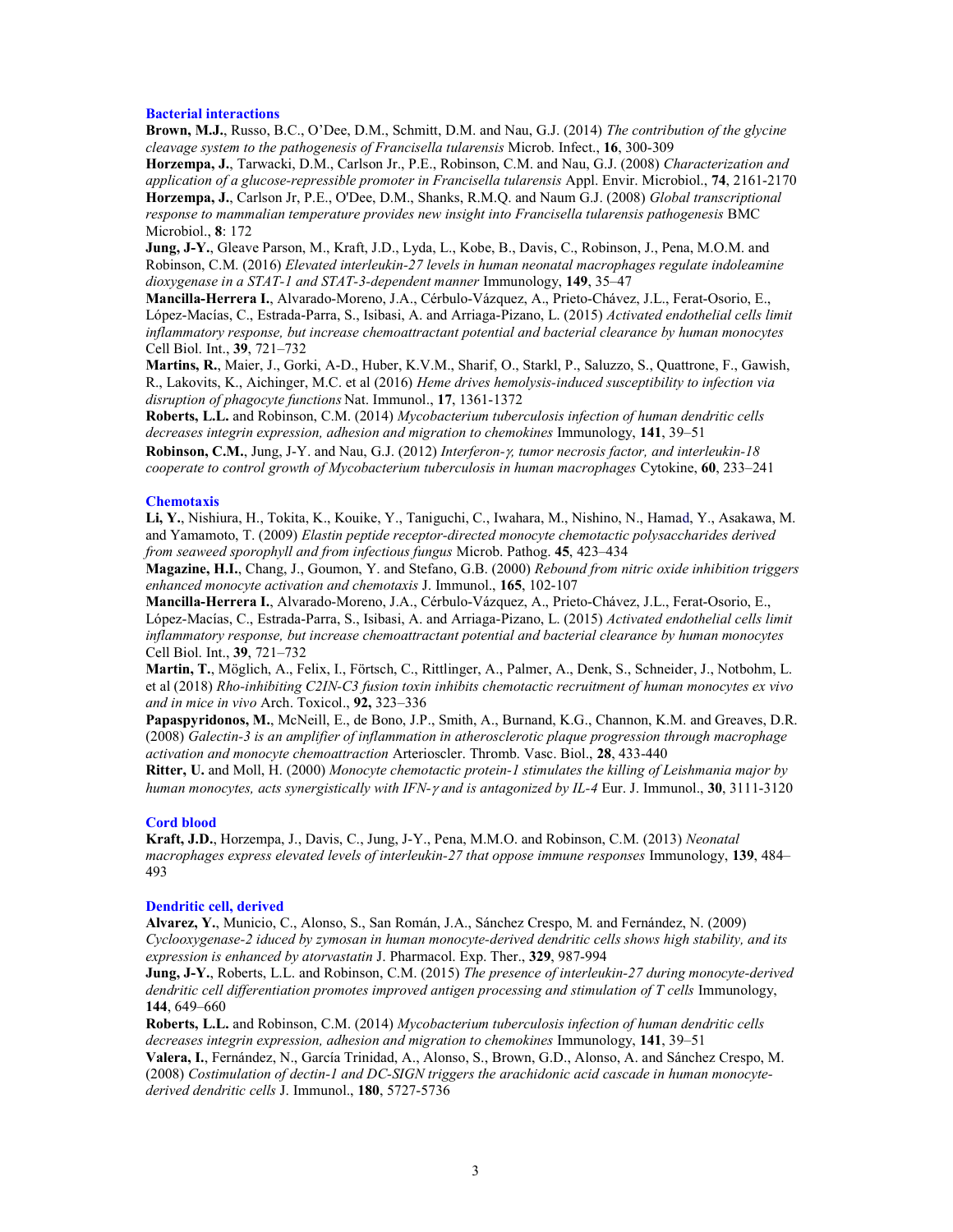### Bacterial interactions

Brown, M.J., Russo, B.C., O'Dee, D.M., Schmitt, D.M. and Nau, G.J. (2014) The contribution of the glycine cleavage system to the pathogenesis of Francisella tularensis Microb. Infect., 16, 300-309

Horzempa, J., Tarwacki, D.M., Carlson Jr., P.E., Robinson, C.M. and Nau, G.J. (2008) Characterization and application of a glucose-repressible promoter in Francisella tularensis Appl. Envir. Microbiol., 74, 2161-2170 Horzempa, J., Carlson Jr, P.E., O'Dee, D.M., Shanks, R.M.Q. and Naum G.J. (2008) Global transcriptional response to mammalian temperature provides new insight into Francisella tularensis pathogenesis BMC Microbiol., 8: 172

Jung, J-Y., Gleave Parson, M., Kraft, J.D., Lyda, L., Kobe, B., Davis, C., Robinson, J., Pena, M.O.M. and Robinson, C.M. (2016) Elevated interleukin-27 levels in human neonatal macrophages regulate indoleamine dioxygenase in a STAT-1 and STAT-3-dependent manner Immunology, 149, 35–47

Mancilla-Herrera I., Alvarado-Moreno, J.A., Cérbulo-Vázquez, A., Prieto-Chávez, J.L., Ferat-Osorio, E., López-Macías, C., Estrada-Parra, S., Isibasi, A. and Arriaga-Pizano, L. (2015) Activated endothelial cells limit inflammatory response, but increase chemoattractant potential and bacterial clearance by human monocytes Cell Biol. Int., 39, 721–732

Martins, R., Maier, J., Gorki, A-D., Huber, K.V.M., Sharif, O., Starkl, P., Saluzzo, S., Quattrone, F., Gawish, R., Lakovits, K., Aichinger, M.C. et al (2016) Heme drives hemolysis-induced susceptibility to infection via disruption of phagocyte functions Nat. Immunol., 17, 1361-1372

Roberts, L.L. and Robinson, C.M. (2014) Mycobacterium tuberculosis infection of human dendritic cells decreases integrin expression, adhesion and migration to chemokines Immunology, 141, 39–51

Robinson, C.M., Jung, J-Y. and Nau, G.J. (2012) Interferon-y, tumor necrosis factor, and interleukin-18 cooperate to control growth of Mycobacterium tuberculosis in human macrophages Cytokine, 60, 233–241

#### Chemotaxis

Li, Y., Nishiura, H., Tokita, K., Kouike, Y., Taniguchi, C., Iwahara, M., Nishino, N., Hamad, Y., Asakawa, M. and Yamamoto, T. (2009) Elastin peptide receptor-directed monocyte chemotactic polysaccharides derived from seaweed sporophyll and from infectious fungus Microb. Pathog. 45, 423–434

Magazine, H.I., Chang, J., Goumon, Y. and Stefano, G.B. (2000) Rebound from nitric oxide inhibition triggers enhanced monocyte activation and chemotaxis J. Immunol., 165, 102-107

Mancilla-Herrera I., Alvarado-Moreno, J.A., Cérbulo-Vázquez, A., Prieto-Chávez, J.L., Ferat-Osorio, E., López-Macías, C., Estrada-Parra, S., Isibasi, A. and Arriaga-Pizano, L. (2015) Activated endothelial cells limit inflammatory response, but increase chemoattractant potential and bacterial clearance by human monocytes Cell Biol. Int., 39, 721–732

Martin, T., Möglich, A., Felix, I., Förtsch, C., Rittlinger, A., Palmer, A., Denk, S., Schneider, J., Notbohm, L. et al (2018) Rho-inhibiting C2IN-C3 fusion toxin inhibits chemotactic recruitment of human monocytes ex vivo and in mice in vivo Arch. Toxicol., 92, 323–336

Papaspyridonos, M., McNeill, E., de Bono, J.P., Smith, A., Burnand, K.G., Channon, K.M. and Greaves, D.R. (2008) Galectin-3 is an amplifier of inflammation in atherosclerotic plaque progression through macrophage activation and monocyte chemoattraction Arterioscler. Thromb. Vasc. Biol., 28, 433-440

Ritter, U. and Moll, H. (2000) Monocyte chemotactic protein-1 stimulates the killing of Leishmania major by human monocytes, acts synergistically with IFN- $\gamma$  and is antagonized by IL-4 Eur. J. Immunol., 30, 3111-3120

### Cord blood

Kraft, J.D., Horzempa, J., Davis, C., Jung, J-Y., Pena, M.M.O. and Robinson, C.M. (2013) Neonatal macrophages express elevated levels of interleukin-27 that oppose immune responses Immunology, 139, 484– 493

#### Dendritic cell, derived

Alvarez, Y., Municio, C., Alonso, S., San Román, J.A., Sánchez Crespo, M. and Fernández, N. (2009) Cyclooxygenase-2 iduced by zymosan in human monocyte-derived dendritic cells shows high stability, and its expression is enhanced by atorvastatin J. Pharmacol. Exp. Ther., 329, 987-994

**Jung, J-Y.**, Roberts, L.L. and Robinson, C.M. (2015) The presence of interleukin-27 during monocyte-derived dendritic cell differentiation promotes improved antigen processing and stimulation of T cells Immunology, 144, 649–660

Roberts, L.L. and Robinson, C.M. (2014) Mycobacterium tuberculosis infection of human dendritic cells decreases integrin expression, adhesion and migration to chemokines Immunology, 141, 39–51

Valera, I., Fernández, N., García Trinidad, A., Alonso, S., Brown, G.D., Alonso, A. and Sánchez Crespo, M. (2008) Costimulation of dectin-1 and DC-SIGN triggers the arachidonic acid cascade in human monocytederived dendritic cells J. Immunol., 180, 5727-5736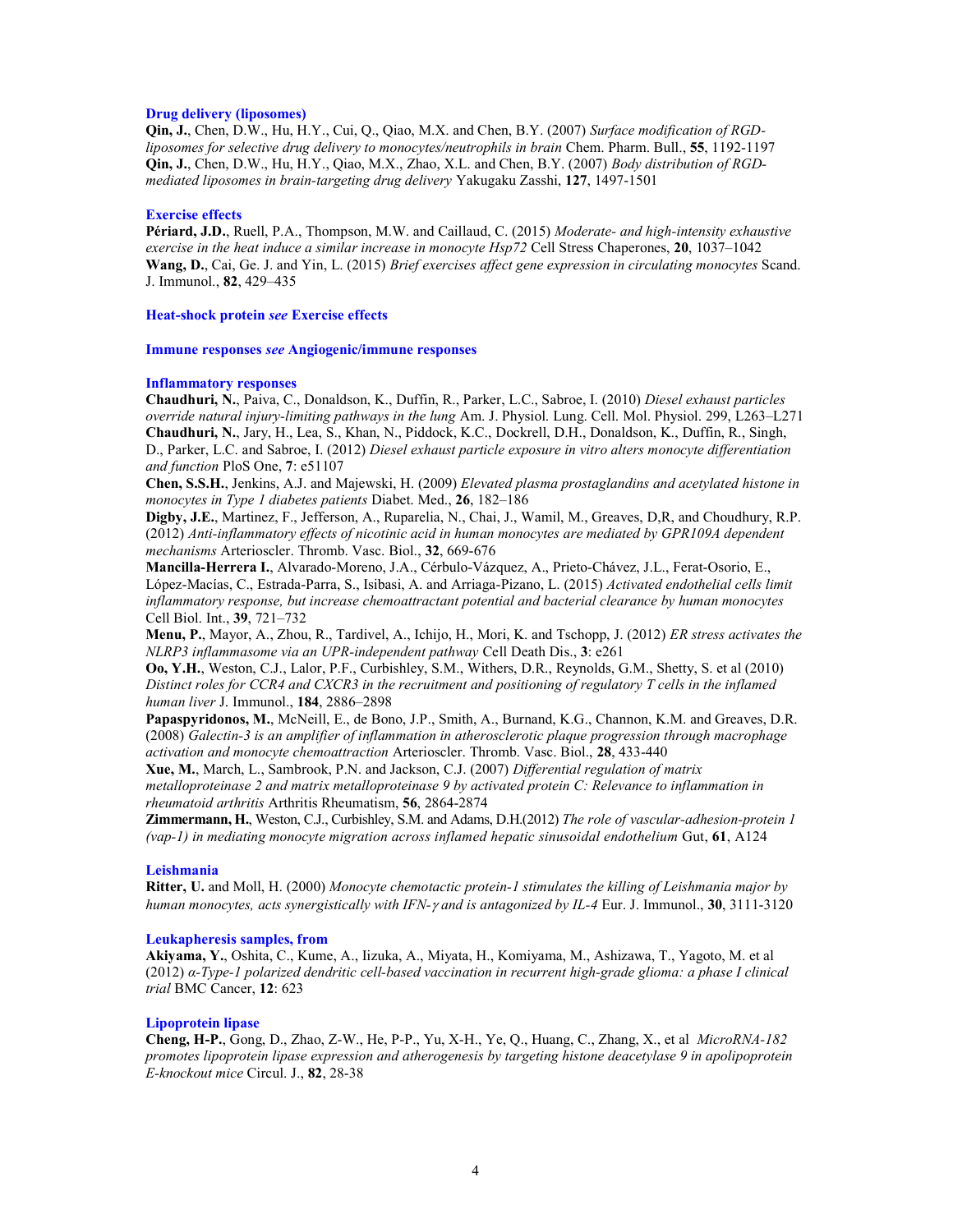### Drug delivery (liposomes)

Qin, J., Chen, D.W., Hu, H.Y., Cui, Q., Qiao, M.X. and Chen, B.Y. (2007) Surface modification of RGDliposomes for selective drug delivery to monocytes/neutrophils in brain Chem. Pharm. Bull., 55, 1192-1197 Qin, J., Chen, D.W., Hu, H.Y., Qiao, M.X., Zhao, X.L. and Chen, B.Y. (2007) Body distribution of RGDmediated liposomes in brain-targeting drug delivery Yakugaku Zasshi, 127, 1497-1501

#### Exercise effects

Périard, J.D., Ruell, P.A., Thompson, M.W. and Caillaud, C. (2015) Moderate- and high-intensity exhaustive exercise in the heat induce a similar increase in monocyte Hsp72 Cell Stress Chaperones, 20, 1037-1042 Wang, D., Cai, Ge. J. and Yin, L. (2015) Brief exercises affect gene expression in circulating monocytes Scand. J. Immunol., 82, 429–435

### Heat-shock protein see Exercise effects

Immune responses see Angiogenic/immune responses

### Inflammatory responses

Chaudhuri, N., Paiva, C., Donaldson, K., Duffin, R., Parker, L.C., Sabroe, I. (2010) Diesel exhaust particles override natural injury-limiting pathways in the lung Am. J. Physiol. Lung. Cell. Mol. Physiol. 299, L263–L271 Chaudhuri, N., Jary, H., Lea, S., Khan, N., Piddock, K.C., Dockrell, D.H., Donaldson, K., Duffin, R., Singh, D., Parker, L.C. and Sabroe, I. (2012) Diesel exhaust particle exposure in vitro alters monocyte differentiation and function PloS One, 7: e51107

Chen, S.S.H., Jenkins, A.J. and Majewski, H. (2009) Elevated plasma prostaglandins and acetylated histone in monocytes in Type 1 diabetes patients Diabet. Med., 26, 182–186

Digby, J.E., Martinez, F., Jefferson, A., Ruparelia, N., Chai, J., Wamil, M., Greaves, D,R, and Choudhury, R.P. (2012) Anti-inflammatory effects of nicotinic acid in human monocytes are mediated by GPR109A dependent mechanisms Arterioscler. Thromb. Vasc. Biol., 32, 669-676

Mancilla-Herrera I., Alvarado-Moreno, J.A., Cérbulo-Vázquez, A., Prieto-Chávez, J.L., Ferat-Osorio, E., López-Macías, C., Estrada-Parra, S., Isibasi, A. and Arriaga-Pizano, L. (2015) Activated endothelial cells limit inflammatory response, but increase chemoattractant potential and bacterial clearance by human monocytes Cell Biol. Int., 39, 721–732

Menu, P., Mayor, A., Zhou, R., Tardivel, A., Ichijo, H., Mori, K. and Tschopp, J. (2012) ER stress activates the NLRP3 inflammasome via an UPR-independent pathway Cell Death Dis., 3: e261

Oo, Y.H., Weston, C.J., Lalor, P.F., Curbishley, S.M., Withers, D.R., Reynolds, G.M., Shetty, S. et al (2010) Distinct roles for CCR4 and CXCR3 in the recruitment and positioning of regulatory T cells in the inflamed human liver J. Immunol., 184, 2886–2898

Papaspyridonos, M., McNeill, E., de Bono, J.P., Smith, A., Burnand, K.G., Channon, K.M. and Greaves, D.R. (2008) Galectin-3 is an amplifier of inflammation in atherosclerotic plaque progression through macrophage activation and monocyte chemoattraction Arterioscler. Thromb. Vasc. Biol., 28, 433-440

Xue, M., March, L., Sambrook, P.N. and Jackson, C.J. (2007) Differential regulation of matrix metalloproteinase 2 and matrix metalloproteinase 9 by activated protein C: Relevance to inflammation in rheumatoid arthritis Arthritis Rheumatism, 56, 2864-2874

Zimmermann, H., Weston, C.J., Curbishley, S.M. and Adams, D.H.(2012) The role of vascular-adhesion-protein 1 (vap-1) in mediating monocyte migration across inflamed hepatic sinusoidal endothelium Gut, 61, A124

### Leishmania

Ritter, U. and Moll, H. (2000) Monocyte chemotactic protein-1 stimulates the killing of Leishmania major by human monocytes, acts synergistically with IFN- $\gamma$  and is antagonized by IL-4 Eur. J. Immunol., 30, 3111-3120

### Leukapheresis samples, from

Akiyama, Y., Oshita, C., Kume, A., Iizuka, A., Miyata, H., Komiyama, M., Ashizawa, T., Yagoto, M. et al (2012) α-Type-1 polarized dendritic cell-based vaccination in recurrent high-grade glioma: a phase I clinical trial BMC Cancer, 12: 623

#### Lipoprotein lipase

Cheng, H-P., Gong, D., Zhao, Z-W., He, P-P., Yu, X-H., Ye, Q., Huang, C., Zhang, X., et al MicroRNA-182 promotes lipoprotein lipase expression and atherogenesis by targeting histone deacetylase 9 in apolipoprotein E-knockout mice Circul. J., 82, 28-38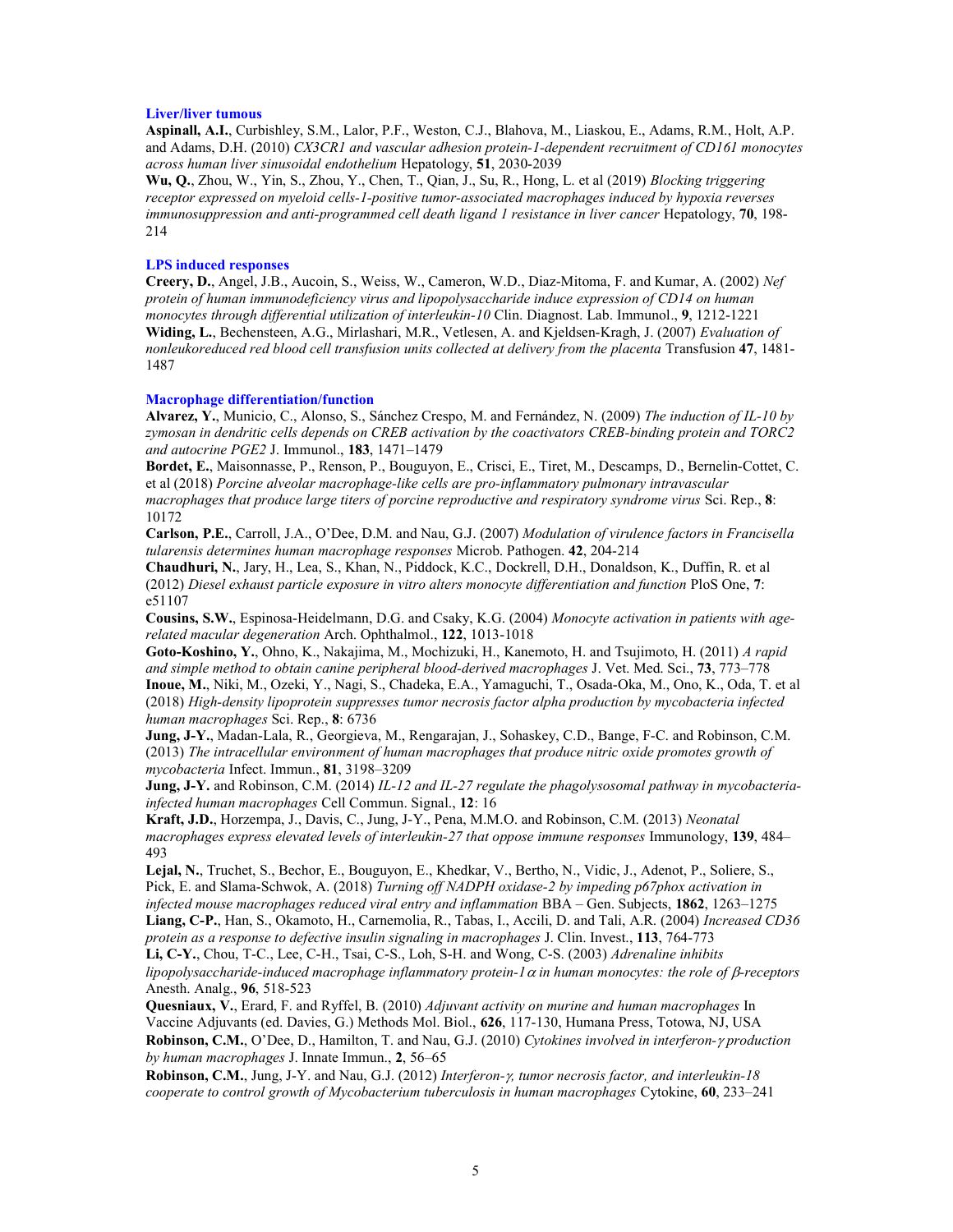#### Liver/liver tumous

Aspinall, A.I., Curbishley, S.M., Lalor, P.F., Weston, C.J., Blahova, M., Liaskou, E., Adams, R.M., Holt, A.P. and Adams, D.H. (2010) CX3CR1 and vascular adhesion protein-1-dependent recruitment of CD161 monocytes across human liver sinusoidal endothelium Hepatology, 51, 2030-2039

Wu, Q., Zhou, W., Yin, S., Zhou, Y., Chen, T., Qian, J., Su, R., Hong, L. et al (2019) Blocking triggering receptor expressed on myeloid cells-1-positive tumor-associated macrophages induced by hypoxia reverses  $immunosuppression$  and anti-programmed cell death ligand 1 resistance in liver cancer Hepatology, 70, 198-214

### LPS induced responses

Creery, D., Angel, J.B., Aucoin, S., Weiss, W., Cameron, W.D., Diaz-Mitoma, F. and Kumar, A. (2002) Nef protein of human immunodeficiency virus and lipopolysaccharide induce expression of CD14 on human monocytes through differential utilization of interleukin-10 Clin. Diagnost. Lab. Immunol., 9, 1212-1221 Widing, L., Bechensteen, A.G., Mirlashari, M.R., Vetlesen, A. and Kjeldsen-Kragh, J. (2007) Evaluation of nonleukoreduced red blood cell transfusion units collected at delivery from the placenta Transfusion 47, 1481- 1487

### Macrophage differentiation/function

Alvarez, Y., Municio, C., Alonso, S., Sánchez Crespo, M. and Fernández, N. (2009) The induction of IL-10 by zymosan in dendritic cells depends on CREB activation by the coactivators CREB-binding protein and TORC2 and autocrine PGE2 J. Immunol., 183, 1471–1479

Bordet, E., Maisonnasse, P., Renson, P., Bouguyon, E., Crisci, E., Tiret, M., Descamps, D., Bernelin-Cottet, C. et al (2018) Porcine alveolar macrophage-like cells are pro-inflammatory pulmonary intravascular macrophages that produce large titers of porcine reproductive and respiratory syndrome virus Sci. Rep., 8: 10172

Carlson, P.E., Carroll, J.A., O'Dee, D.M. and Nau, G.J. (2007) Modulation of virulence factors in Francisella tularensis determines human macrophage responses Microb. Pathogen. 42, 204-214

Chaudhuri, N., Jary, H., Lea, S., Khan, N., Piddock, K.C., Dockrell, D.H., Donaldson, K., Duffin, R. et al (2012) Diesel exhaust particle exposure in vitro alters monocyte differentiation and function PloS One, 7: e51107

Cousins, S.W., Espinosa-Heidelmann, D.G. and Csaky, K.G. (2004) Monocyte activation in patients with agerelated macular degeneration Arch. Ophthalmol., 122, 1013-1018

Goto-Koshino, Y., Ohno, K., Nakajima, M., Mochizuki, H., Kanemoto, H. and Tsujimoto, H. (2011) A rapid and simple method to obtain canine peripheral blood-derived macrophages J. Vet. Med. Sci., 73, 773–778 Inoue, M., Niki, M., Ozeki, Y., Nagi, S., Chadeka, E.A., Yamaguchi, T., Osada-Oka, M., Ono, K., Oda, T. et al (2018) High-density lipoprotein suppresses tumor necrosis factor alpha production by mycobacteria infected human macrophages Sci. Rep., 8: 6736

Jung, J-Y., Madan-Lala, R., Georgieva, M., Rengarajan, J., Sohaskey, C.D., Bange, F-C. and Robinson, C.M. (2013) The intracellular environment of human macrophages that produce nitric oxide promotes growth of mycobacteria Infect. Immun., 81, 3198–3209

Jung, J-Y. and Robinson, C.M. (2014) IL-12 and IL-27 regulate the phagolysosomal pathway in mycobacteriainfected human macrophages Cell Commun. Signal., 12: 16

Kraft, J.D., Horzempa, J., Davis, C., Jung, J-Y., Pena, M.M.O. and Robinson, C.M. (2013) Neonatal macrophages express elevated levels of interleukin-27 that oppose immune responses Immunology, 139, 484-493

Lejal, N., Truchet, S., Bechor, E., Bouguyon, E., Khedkar, V., Bertho, N., Vidic, J., Adenot, P., Soliere, S., Pick, E. and Slama-Schwok, A. (2018) Turning off NADPH oxidase-2 by impeding p67phox activation in infected mouse macrophages reduced viral entry and inflammation  $BBA - Gen$ . Subjects, 1862, 1263–1275

Liang, C-P., Han, S., Okamoto, H., Carnemolia, R., Tabas, I., Accili, D. and Tali, A.R. (2004) Increased CD36 protein as a response to defective insulin signaling in macrophages J. Clin. Invest., 113, 764-773 Li, C-Y., Chou, T-C., Lee, C-H., Tsai, C-S., Loh, S-H. and Wong, C-S. (2003) Adrenaline inhibits

lipopolysaccharide-induced macrophage inflammatory protein-1 $\alpha$  in human monocytes: the role of  $\beta$ -receptors Anesth. Analg., 96, 518-523

Quesniaux, V., Erard, F. and Ryffel, B. (2010) Adjuvant activity on murine and human macrophages In Vaccine Adjuvants (ed. Davies, G.) Methods Mol. Biol., 626, 117-130, Humana Press, Totowa, NJ, USA Robinson, C.M., O'Dee, D., Hamilton, T. and Nau, G.J. (2010) Cytokines involved in interferon-y production by human macrophages J. Innate Immun., 2, 56–65

Robinson, C.M., Jung, J-Y. and Nau, G.J. (2012) Interferon-y, tumor necrosis factor, and interleukin-18 cooperate to control growth of Mycobacterium tuberculosis in human macrophages Cytokine, 60, 233–241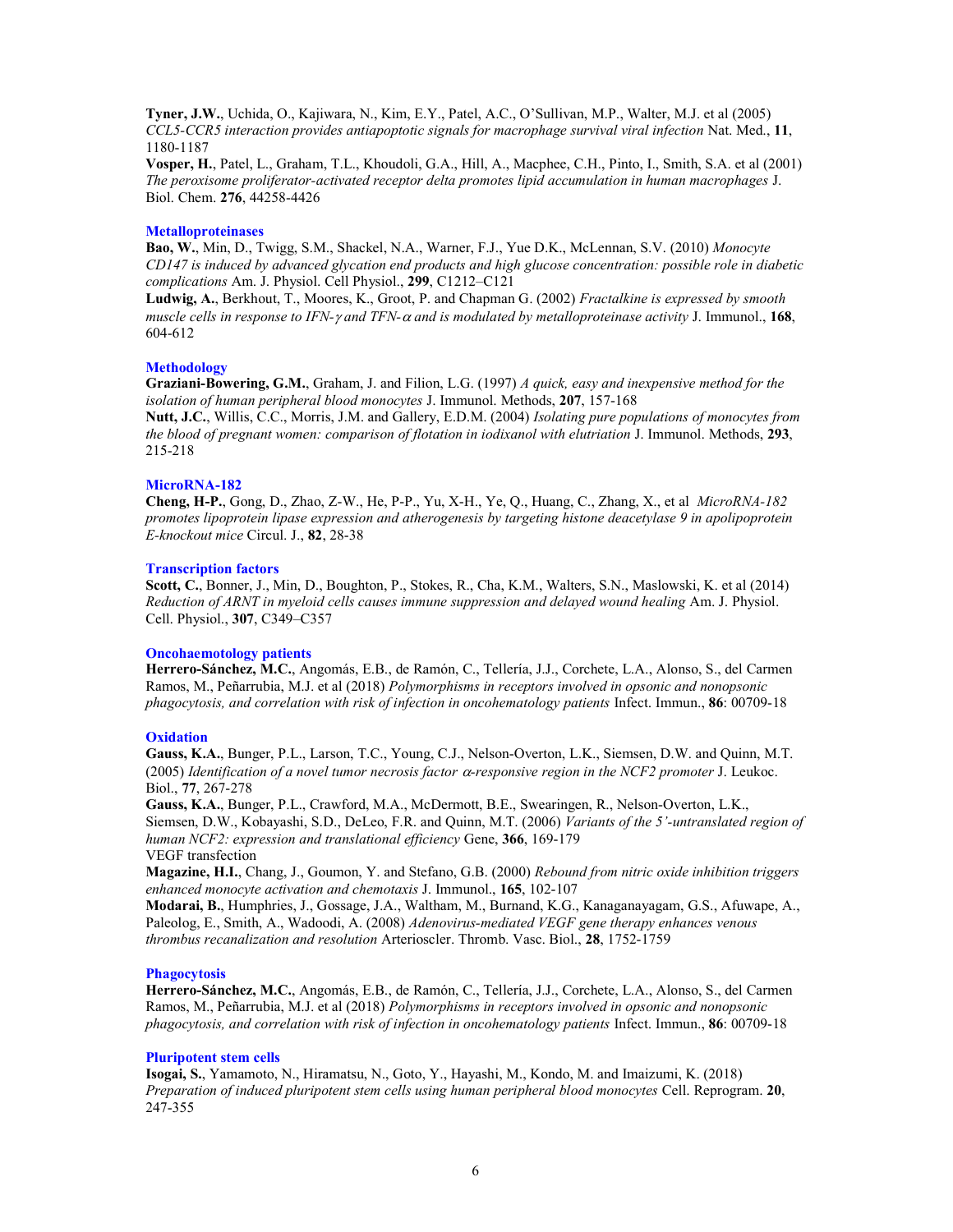Tyner, J.W., Uchida, O., Kajiwara, N., Kim, E.Y., Patel, A.C., O'Sullivan, M.P., Walter, M.J. et al (2005) CCL5-CCR5 interaction provides antiapoptotic signals for macrophage survival viral infection Nat. Med., 11, 1180-1187

Vosper, H., Patel, L., Graham, T.L., Khoudoli, G.A., Hill, A., Macphee, C.H., Pinto, I., Smith, S.A. et al (2001) The peroxisome proliferator-activated receptor delta promotes lipid accumulation in human macrophages J. Biol. Chem. 276, 44258-4426

### **Metalloproteinases**

Bao, W., Min, D., Twigg, S.M., Shackel, N.A., Warner, F.J., Yue D.K., McLennan, S.V. (2010) Monocyte CD147 is induced by advanced glycation end products and high glucose concentration: possible role in diabetic complications Am. J. Physiol. Cell Physiol., 299, C1212–C121

Ludwig, A., Berkhout, T., Moores, K., Groot, P. and Chapman G. (2002) Fractalkine is expressed by smooth muscle cells in response to IFN- $\gamma$  and TFN- $\alpha$  and is modulated by metalloproteinase activity J. Immunol., 168, 604-612

## Methodology

Graziani-Bowering, G.M., Graham, J. and Filion, L.G. (1997) A quick, easy and inexpensive method for the isolation of human peripheral blood monocytes J. Immunol. Methods, 207, 157-168

Nutt, J.C., Willis, C.C., Morris, J.M. and Gallery, E.D.M. (2004) Isolating pure populations of monocytes from the blood of pregnant women: comparison of flotation in iodixanol with elutriation J. Immunol. Methods, 293, 215-218

## MicroRNA-182

Cheng, H-P., Gong, D., Zhao, Z-W., He, P-P., Yu, X-H., Ye, Q., Huang, C., Zhang, X., et al MicroRNA-182 promotes lipoprotein lipase expression and atherogenesis by targeting histone deacetylase 9 in apolipoprotein E-knockout mice Circul. J., 82, 28-38

### Transcription factors

Scott, C., Bonner, J., Min, D., Boughton, P., Stokes, R., Cha, K.M., Walters, S.N., Maslowski, K. et al (2014) Reduction of ARNT in myeloid cells causes immune suppression and delayed wound healing Am. J. Physiol. Cell. Physiol., 307, C349–C357

### Oncohaemotology patients

Herrero-Sánchez, M.C., Angomás, E.B., de Ramón, C., Tellería, J.J., Corchete, L.A., Alonso, S., del Carmen Ramos, M., Peñarrubia, M.J. et al (2018) *Polymorphisms in receptors involved in opsonic and nonopsonic* phagocytosis, and correlation with risk of infection in oncohematology patients Infect. Immun., 86: 00709-18

### **Oxidation**

Gauss, K.A., Bunger, P.L., Larson, T.C., Young, C.J., Nelson-Overton, L.K., Siemsen, D.W. and Quinn, M.T. (2005) Identification of a novel tumor necrosis factor  $\alpha$ -responsive region in the NCF2 promoter J. Leukoc. Biol., 77, 267-278

Gauss, K.A., Bunger, P.L., Crawford, M.A., McDermott, B.E., Swearingen, R., Nelson-Overton, L.K., Siemsen, D.W., Kobayashi, S.D., DeLeo, F.R. and Quinn, M.T. (2006) Variants of the 5'-untranslated region of human NCF2: expression and translational efficiency Gene, 366, 169-179 VEGF transfection

Magazine, H.I., Chang, J., Goumon, Y. and Stefano, G.B. (2000) Rebound from nitric oxide inhibition triggers enhanced monocyte activation and chemotaxis J. Immunol., 165, 102-107

Modarai, B., Humphries, J., Gossage, J.A., Waltham, M., Burnand, K.G., Kanaganayagam, G.S., Afuwape, A., Paleolog, E., Smith, A., Wadoodi, A. (2008) Adenovirus-mediated VEGF gene therapy enhances venous thrombus recanalization and resolution Arterioscler. Thromb. Vasc. Biol., 28, 1752-1759

### **Phagocytosis**

Herrero-Sánchez, M.C., Angomás, E.B., de Ramón, C., Tellería, J.J., Corchete, L.A., Alonso, S., del Carmen Ramos, M., Peñarrubia, M.J. et al (2018) *Polymorphisms in receptors involved in opsonic and nonopsonic* phagocytosis, and correlation with risk of infection in oncohematology patients Infect. Immun., 86: 00709-18

### Pluripotent stem cells

Isogai, S., Yamamoto, N., Hiramatsu, N., Goto, Y., Hayashi, M., Kondo, M. and Imaizumi, K. (2018) Preparation of induced pluripotent stem cells using human peripheral blood monocytes Cell. Reprogram. 20, 247-355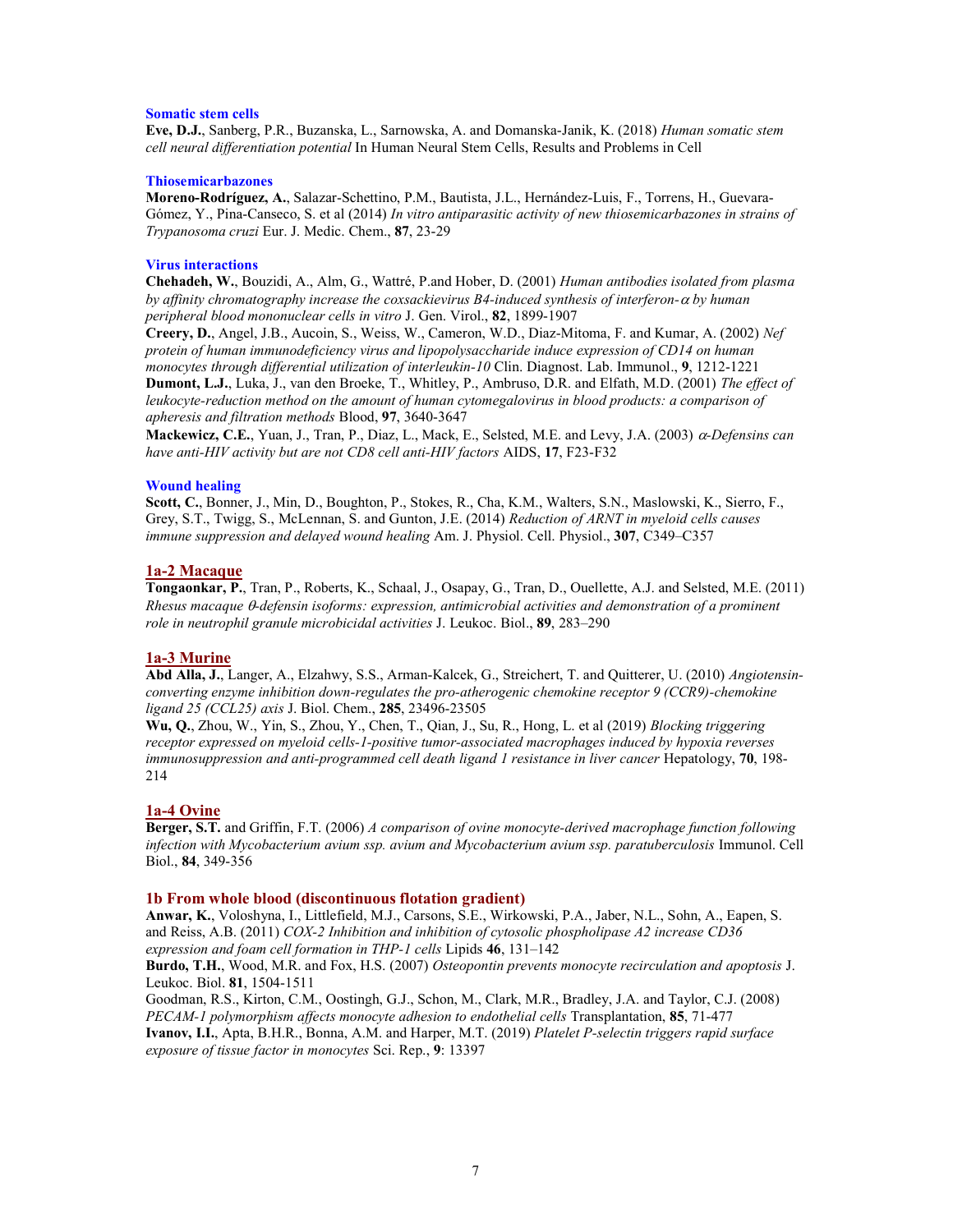#### Somatic stem cells

Eve, D.J., Sanberg, P.R., Buzanska, L., Sarnowska, A. and Domanska-Janik, K. (2018) Human somatic stem cell neural differentiation potential In Human Neural Stem Cells, Results and Problems in Cell

#### Thiosemicarbazones

Moreno-Rodríguez, A., Salazar-Schettino, P.M., Bautista, J.L., Hernández-Luis, F., Torrens, H., Guevara-Gómez, Y., Pina-Canseco, S. et al (2014) In vitro antiparasitic activity of new thiosemicarbazones in strains of Trypanosoma cruzi Eur. J. Medic. Chem., 87, 23-29

#### Virus interactions

Chehadeh, W., Bouzidi, A., Alm, G., Wattré, P.and Hober, D. (2001) Human antibodies isolated from plasma by affinity chromatography increase the coxsackievirus B4-induced synthesis of interferon- $\alpha$  by human peripheral blood mononuclear cells in vitro J. Gen. Virol., 82, 1899-1907

Creery, D., Angel, J.B., Aucoin, S., Weiss, W., Cameron, W.D., Diaz-Mitoma, F. and Kumar, A. (2002) Nef protein of human immunodeficiency virus and lipopolysaccharide induce expression of CD14 on human monocytes through differential utilization of interleukin-10 Clin. Diagnost. Lab. Immunol., 9, 1212-1221 Dumont, L.J., Luka, J., van den Broeke, T., Whitley, P., Ambruso, D.R. and Elfath, M.D. (2001) The effect of leukocyte-reduction method on the amount of human cytomegalovirus in blood products: a comparison of apheresis and filtration methods Blood, 97, 3640-3647

Mackewicz, C.E., Yuan, J., Tran, P., Diaz, L., Mack, E., Selsted, M.E. and Levy, J.A. (2003)  $\alpha$ -Defensins can have anti-HIV activity but are not CD8 cell anti-HIV factors AIDS, 17, F23-F32

### Wound healing

Scott, C., Bonner, J., Min, D., Boughton, P., Stokes, R., Cha, K.M., Walters, S.N., Maslowski, K., Sierro, F., Grey, S.T., Twigg, S., McLennan, S. and Gunton, J.E. (2014) Reduction of ARNT in myeloid cells causes immune suppression and delayed wound healing Am. J. Physiol. Cell. Physiol., 307, C349–C357

## 1a-2 Macaque

Tongaonkar, P., Tran, P., Roberts, K., Schaal, J., Osapay, G., Tran, D., Ouellette, A.J. and Selsted, M.E. (2011) Rhesus macaque  $\theta$ -defensin isoforms: expression, antimicrobial activities and demonstration of a prominent role in neutrophil granule microbicidal activities J. Leukoc. Biol., 89, 283–290

### 1a-3 Murine

Abd Alla, J., Langer, A., Elzahwy, S.S., Arman-Kalcek, G., Streichert, T. and Quitterer, U. (2010) Angiotensinconverting enzyme inhibition down-regulates the pro-atherogenic chemokine receptor 9 (CCR9)-chemokine ligand 25 (CCL25) axis J. Biol. Chem., 285, 23496-23505

Wu, Q., Zhou, W., Yin, S., Zhou, Y., Chen, T., Qian, J., Su, R., Hong, L. et al (2019) Blocking triggering receptor expressed on myeloid cells-1-positive tumor-associated macrophages induced by hypoxia reverses immunosuppression and anti-programmed cell death ligand 1 resistance in liver cancer Hepatology, 70, 198-214

### 1a-4 Ovine

Berger, S.T. and Griffin, F.T. (2006) A comparison of ovine monocyte-derived macrophage function following infection with Mycobacterium avium ssp. avium and Mycobacterium avium ssp. paratuberculosis Immunol. Cell Biol., 84, 349-356

### 1b From whole blood (discontinuous flotation gradient)

Anwar, K., Voloshyna, I., Littlefield, M.J., Carsons, S.E., Wirkowski, P.A., Jaber, N.L., Sohn, A., Eapen, S. and Reiss, A.B. (2011) COX-2 Inhibition and inhibition of cytosolic phospholipase A2 increase CD36 expression and foam cell formation in THP-1 cells Lipids 46, 131-142

Burdo, T.H., Wood, M.R. and Fox, H.S. (2007) Osteopontin prevents monocyte recirculation and apoptosis J. Leukoc. Biol. 81, 1504-1511

Goodman, R.S., Kirton, C.M., Oostingh, G.J., Schon, M., Clark, M.R., Bradley, J.A. and Taylor, C.J. (2008) PECAM-1 polymorphism affects monocyte adhesion to endothelial cells Transplantation, 85, 71-477 Ivanov, I.I., Apta, B.H.R., Bonna, A.M. and Harper, M.T. (2019) Platelet P-selectin triggers rapid surface exposure of tissue factor in monocytes Sci. Rep., 9: 13397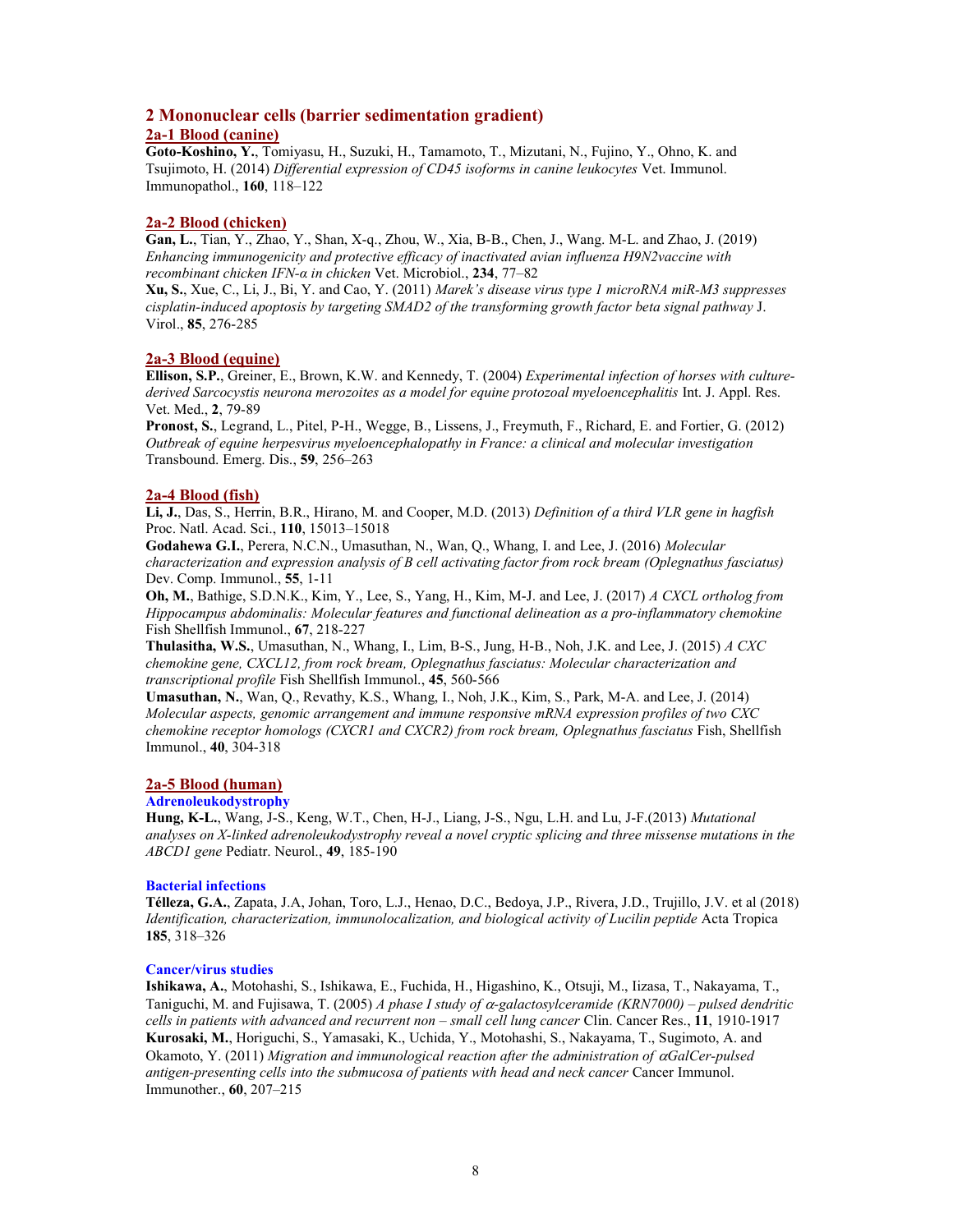## 2 Mononuclear cells (barrier sedimentation gradient) 2a-1 Blood (canine)

Goto-Koshino, Y., Tomiyasu, H., Suzuki, H., Tamamoto, T., Mizutani, N., Fujino, Y., Ohno, K. and Tsujimoto, H. (2014) Differential expression of CD45 isoforms in canine leukocytes Vet. Immunol. Immunopathol., 160, 118–122

## 2a-2 Blood (chicken)

Gan, L., Tian, Y., Zhao, Y., Shan, X-q., Zhou, W., Xia, B-B., Chen, J., Wang. M-L. and Zhao, J. (2019) Enhancing immunogenicity and protective efficacy of inactivated avian influenza H9N2vaccine with recombinant chicken IFN-α in chicken Vet. Microbiol., 234, 77–82

Xu, S., Xue, C., Li, J., Bi, Y. and Cao, Y. (2011) Marek's disease virus type 1 microRNA miR-M3 suppresses cisplatin-induced apoptosis by targeting SMAD2 of the transforming growth factor beta signal pathway J. Virol., 85, 276-285

## 2a-3 Blood (equine)

Ellison, S.P., Greiner, E., Brown, K.W. and Kennedy, T. (2004) Experimental infection of horses with culturederived Sarcocystis neurona merozoites as a model for equine protozoal myeloencephalitis Int. J. Appl. Res. Vet. Med., 2, 79-89

Pronost, S., Legrand, L., Pitel, P-H., Wegge, B., Lissens, J., Freymuth, F., Richard, E. and Fortier, G. (2012) Outbreak of equine herpesvirus myeloencephalopathy in France: a clinical and molecular investigation Transbound. Emerg. Dis., 59, 256–263

## 2a-4 Blood (fish)

Li, J., Das, S., Herrin, B.R., Hirano, M. and Cooper, M.D. (2013) Definition of a third VLR gene in hagfish Proc. Natl. Acad. Sci., 110, 15013–15018

Godahewa G.I., Perera, N.C.N., Umasuthan, N., Wan, Q., Whang, I. and Lee, J. (2016) Molecular characterization and expression analysis of B cell activating factor from rock bream (Oplegnathus fasciatus) Dev. Comp. Immunol., 55, 1-11

Oh, M., Bathige, S.D.N.K., Kim, Y., Lee, S., Yang, H., Kim, M-J. and Lee, J. (2017) A CXCL ortholog from Hippocampus abdominalis: Molecular features and functional delineation as a pro-inflammatory chemokine Fish Shellfish Immunol., 67, 218-227

Thulasitha, W.S., Umasuthan, N., Whang, I., Lim, B-S., Jung, H-B., Noh, J.K. and Lee, J. (2015) A CXC chemokine gene, CXCL12, from rock bream, Oplegnathus fasciatus: Molecular characterization and transcriptional profile Fish Shellfish Immunol., 45, 560-566

Umasuthan, N., Wan, Q., Revathy, K.S., Whang, I., Noh, J.K., Kim, S., Park, M-A. and Lee, J. (2014) Molecular aspects, genomic arrangement and immune responsive mRNA expression profiles of two CXC chemokine receptor homologs (CXCR1 and CXCR2) from rock bream, Oplegnathus fasciatus Fish, Shellfish Immunol., 40, 304-318

## 2a-5 Blood (human)

## Adrenoleukodystrophy

Hung, K-L., Wang, J-S., Keng, W.T., Chen, H-J., Liang, J-S., Ngu, L.H. and Lu, J-F.(2013) Mutational analyses on X-linked adrenoleukodystrophy reveal a novel cryptic splicing and three missense mutations in the ABCD1 gene Pediatr. Neurol., 49, 185-190

## Bacterial infections

Télleza, G.A., Zapata, J.A, Johan, Toro, L.J., Henao, D.C., Bedoya, J.P., Rivera, J.D., Trujillo, J.V. et al (2018) Identification, characterization, immunolocalization, and biological activity of Lucilin peptide Acta Tropica 185, 318–326

## Cancer/virus studies

Ishikawa, A., Motohashi, S., Ishikawa, E., Fuchida, H., Higashino, K., Otsuji, M., Iizasa, T., Nakayama, T., Taniguchi, M. and Fujisawa, T. (2005) A phase I study of  $\alpha$ -galactosylceramide (KRN7000) – pulsed dendritic cells in patients with advanced and recurrent non – small cell lung cancer Clin. Cancer Res., 11, 1910-1917 Kurosaki, M., Horiguchi, S., Yamasaki, K., Uchida, Y., Motohashi, S., Nakayama, T., Sugimoto, A. and Okamoto, Y. (2011) Migration and immunological reaction after the administration of  $\alpha$ GalCer-pulsed antigen-presenting cells into the submucosa of patients with head and neck cancer Cancer Immunol. Immunother., 60, 207–215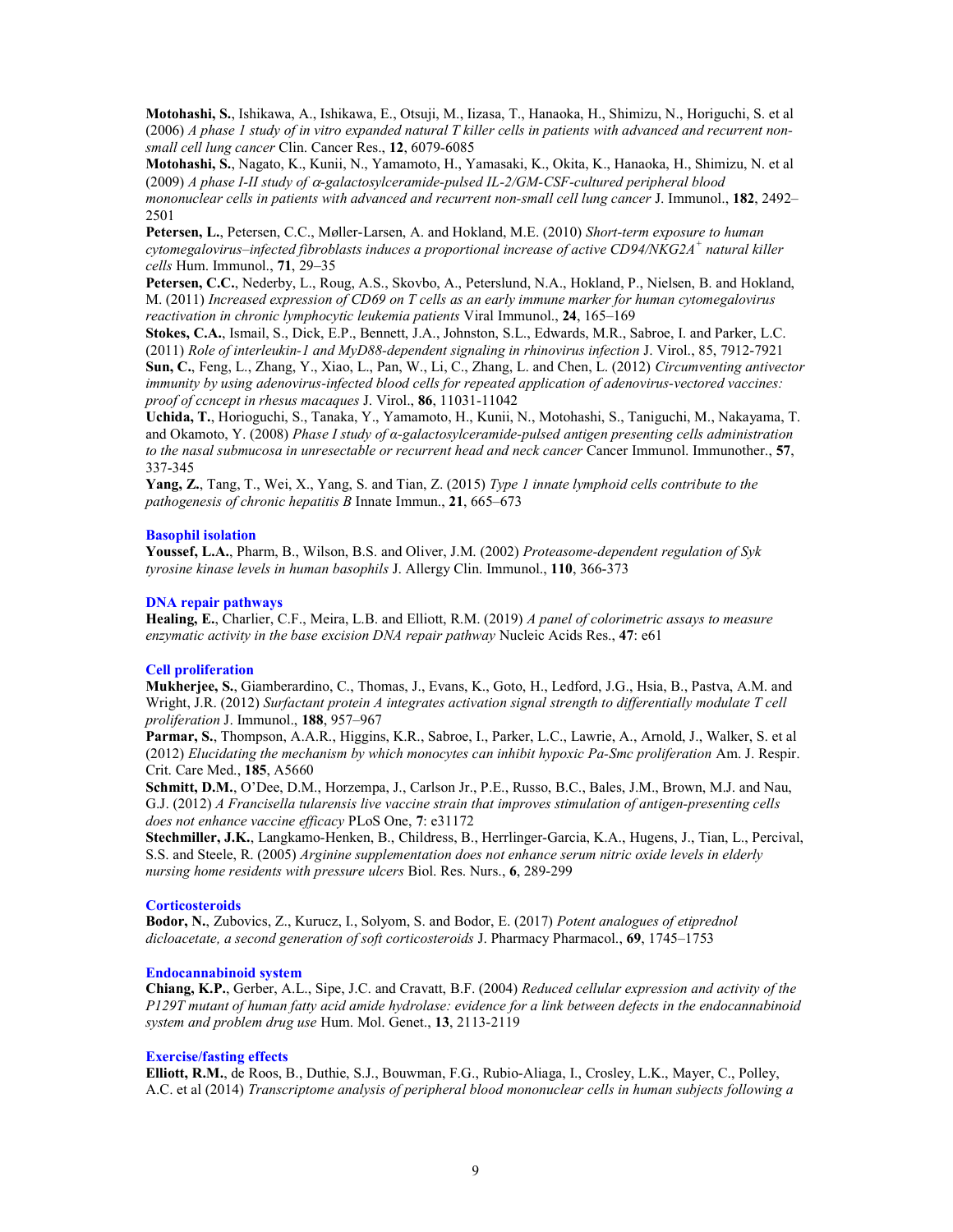Motohashi, S., Ishikawa, A., Ishikawa, E., Otsuji, M., Iizasa, T., Hanaoka, H., Shimizu, N., Horiguchi, S. et al (2006) A phase 1 study of in vitro expanded natural T killer cells in patients with advanced and recurrent nonsmall cell lung cancer Clin. Cancer Res., 12, 6079-6085

Motohashi, S., Nagato, K., Kunii, N., Yamamoto, H., Yamasaki, K., Okita, K., Hanaoka, H., Shimizu, N. et al (2009) A phase I-II study of  $\alpha$ -galactosylceramide-pulsed IL-2/GM-CSF-cultured peripheral blood mononuclear cells in patients with advanced and recurrent non-small cell lung cancer J. Immunol., 182, 2492– 2501

Petersen, L., Petersen, C.C., Møller-Larsen, A. and Hokland, M.E. (2010) Short-term exposure to human cytomegalovirus–infected fibroblasts induces a proportional increase of active CD94/NKG2A<sup>+</sup> natural killer cells Hum. Immunol., 71, 29–35

Petersen, C.C., Nederby, L., Roug, A.S., Skovbo, A., Peterslund, N.A., Hokland, P., Nielsen, B. and Hokland, M. (2011) Increased expression of CD69 on T cells as an early immune marker for human cytomegalovirus reactivation in chronic lymphocytic leukemia patients Viral Immunol., 24, 165–169

Stokes, C.A., Ismail, S., Dick, E.P., Bennett, J.A., Johnston, S.L., Edwards, M.R., Sabroe, I. and Parker, L.C. (2011) Role of interleukin-1 and MyD88-dependent signaling in rhinovirus infection J. Virol., 85, 7912-7921 Sun, C., Feng, L., Zhang, Y., Xiao, L., Pan, W., Li, C., Zhang, L. and Chen, L. (2012) Circumventing antivector immunity by using adenovirus-infected blood cells for repeated application of adenovirus-vectored vaccines: proof of ccncept in rhesus macaques J. Virol., 86, 11031-11042

Uchida, T., Horioguchi, S., Tanaka, Y., Yamamoto, H., Kunii, N., Motohashi, S., Taniguchi, M., Nakayama, T. and Okamoto, Y. (2008) Phase I study of α-galactosylceramide-pulsed antigen presenting cells administration to the nasal submucosa in unresectable or recurrent head and neck cancer Cancer Immunol. Immunother., 57, 337-345

Yang, Z., Tang, T., Wei, X., Yang, S. and Tian, Z. (2015) Type 1 innate lymphoid cells contribute to the pathogenesis of chronic hepatitis B Innate Immun., 21, 665–673

### Basophil isolation

Youssef, L.A., Pharm, B., Wilson, B.S. and Oliver, J.M. (2002) Proteasome-dependent regulation of Syk tyrosine kinase levels in human basophils J. Allergy Clin. Immunol., 110, 366-373

#### DNA repair pathways

Healing, E., Charlier, C.F., Meira, L.B. and Elliott, R.M. (2019) A panel of colorimetric assays to measure enzymatic activity in the base excision DNA repair pathway Nucleic Acids Res.,  $47: e61$ 

#### Cell proliferation

Mukherjee, S., Giamberardino, C., Thomas, J., Evans, K., Goto, H., Ledford, J.G., Hsia, B., Pastva, A.M. and Wright, J.R. (2012) Surfactant protein A integrates activation signal strength to differentially modulate T cell proliferation J. Immunol., 188, 957–967

Parmar, S., Thompson, A.A.R., Higgins, K.R., Sabroe, I., Parker, L.C., Lawrie, A., Arnold, J., Walker, S. et al (2012) Elucidating the mechanism by which monocytes can inhibit hypoxic Pa-Smc proliferation Am. J. Respir. Crit. Care Med., 185, A5660

Schmitt, D.M., O'Dee, D.M., Horzempa, J., Carlson Jr., P.E., Russo, B.C., Bales, J.M., Brown, M.J. and Nau, G.J. (2012) A Francisella tularensis live vaccine strain that improves stimulation of antigen-presenting cells does not enhance vaccine efficacy PLoS One, 7: e31172

Stechmiller, J.K., Langkamo-Henken, B., Childress, B., Herrlinger-Garcia, K.A., Hugens, J., Tian, L., Percival, S.S. and Steele, R. (2005) Arginine supplementation does not enhance serum nitric oxide levels in elderly nursing home residents with pressure ulcers Biol. Res. Nurs., 6, 289-299

#### **Corticosteroids**

Bodor, N., Zubovics, Z., Kurucz, I., Solyom, S. and Bodor, E. (2017) Potent analogues of etiprednol dicloacetate, a second generation of soft corticosteroids J. Pharmacy Pharmacol., 69, 1745–1753

### Endocannabinoid system

Chiang, K.P., Gerber, A.L., Sipe, J.C. and Cravatt, B.F. (2004) Reduced cellular expression and activity of the P129T mutant of human fatty acid amide hydrolase: evidence for a link between defects in the endocannabinoid system and problem drug use Hum. Mol. Genet., 13, 2113-2119

#### Exercise/fasting effects

Elliott, R.M., de Roos, B., Duthie, S.J., Bouwman, F.G., Rubio-Aliaga, I., Crosley, L.K., Mayer, C., Polley, A.C. et al (2014) Transcriptome analysis of peripheral blood mononuclear cells in human subjects following a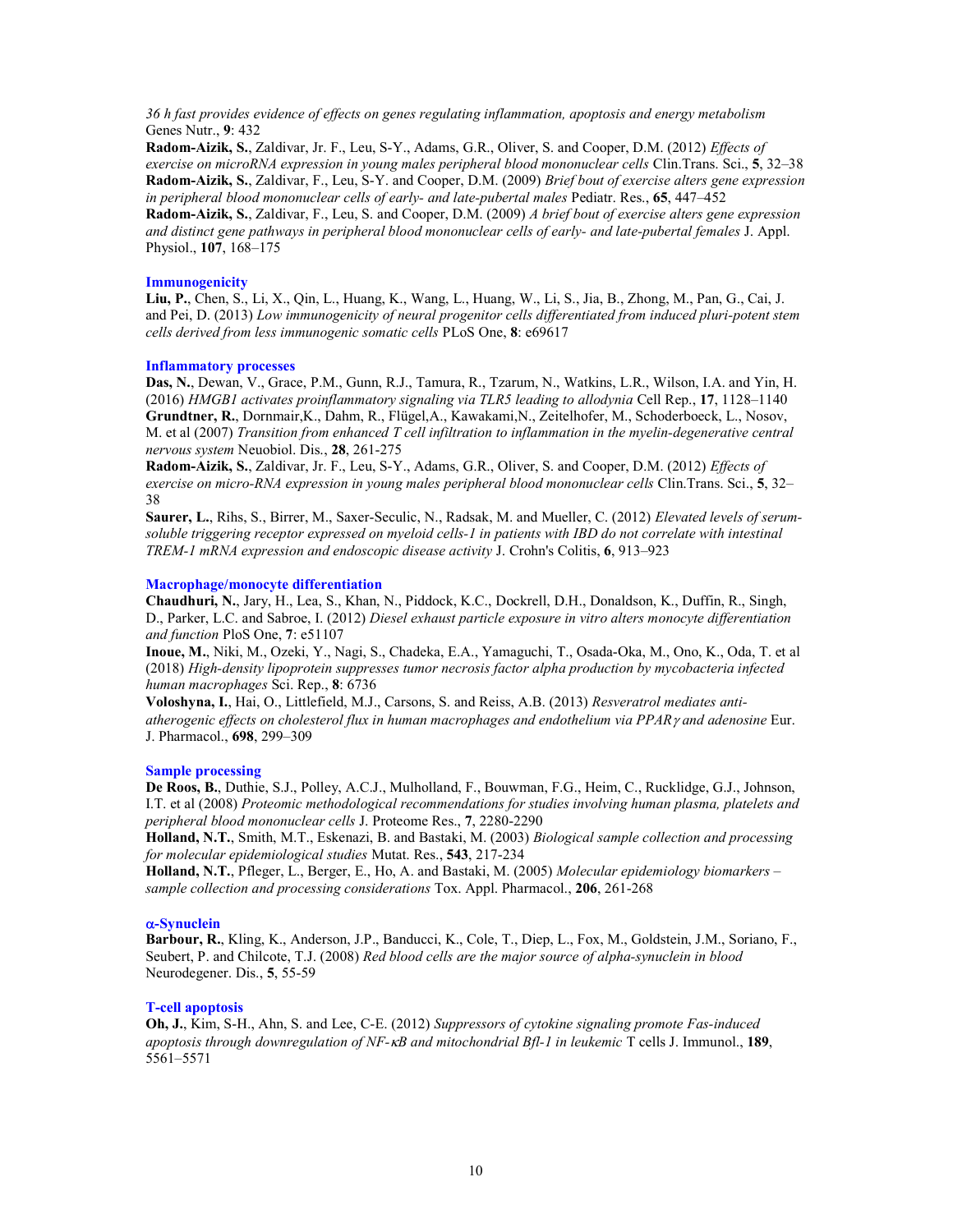36 h fast provides evidence of effects on genes regulating inflammation, apoptosis and energy metabolism Genes Nutr., 9: 432

Radom-Aizik, S., Zaldivar, Jr. F., Leu, S-Y., Adams, G.R., Oliver, S. and Cooper, D.M. (2012) Effects of exercise on microRNA expression in young males peripheral blood mononuclear cells Clin.Trans. Sci., 5, 32–38 Radom-Aizik, S., Zaldivar, F., Leu, S-Y. and Cooper, D.M. (2009) Brief bout of exercise alters gene expression in peripheral blood mononuclear cells of early- and late-pubertal males Pediatr. Res., 65, 447–452 Radom-Aizik, S., Zaldivar, F., Leu, S. and Cooper, D.M. (2009) A brief bout of exercise alters gene expression and distinct gene pathways in peripheral blood mononuclear cells of early- and late-pubertal females J. Appl.

Physiol., 107, 168–175

### Immunogenicity

Liu, P., Chen, S., Li, X., Qin, L., Huang, K., Wang, L., Huang, W., Li, S., Jia, B., Zhong, M., Pan, G., Cai, J. and Pei, D. (2013) Low immunogenicity of neural progenitor cells differentiated from induced pluri-potent stem cells derived from less immunogenic somatic cells PLoS One, 8: e69617

#### Inflammatory processes

Das, N., Dewan, V., Grace, P.M., Gunn, R.J., Tamura, R., Tzarum, N., Watkins, L.R., Wilson, I.A. and Yin, H. (2016) HMGB1 activates proinflammatory signaling via TLR5 leading to allodynia Cell Rep., 17, 1128–1140 Grundtner, R., Dornmair,K., Dahm, R., Flügel,A., Kawakami,N., Zeitelhofer, M., Schoderboeck, L., Nosov, M. et al (2007) Transition from enhanced T cell infiltration to inflammation in the myelin-degenerative central nervous system Neuobiol. Dis., 28, 261-275

Radom-Aizik, S., Zaldivar, Jr. F., Leu, S-Y., Adams, G.R., Oliver, S. and Cooper, D.M. (2012) Effects of exercise on micro-RNA expression in young males peripheral blood mononuclear cells Clin.Trans. Sci., 5, 32– 38

Saurer, L., Rihs, S., Birrer, M., Saxer-Seculic, N., Radsak, M. and Mueller, C. (2012) Elevated levels of serumsoluble triggering receptor expressed on myeloid cells-1 in patients with IBD do not correlate with intestinal TREM-1 mRNA expression and endoscopic disease activity J. Crohn's Colitis, 6, 913–923

#### Macrophage/monocyte differentiation

Chaudhuri, N., Jary, H., Lea, S., Khan, N., Piddock, K.C., Dockrell, D.H., Donaldson, K., Duffin, R., Singh, D., Parker, L.C. and Sabroe, I. (2012) Diesel exhaust particle exposure in vitro alters monocyte differentiation and function PloS One, 7: e51107

Inoue, M., Niki, M., Ozeki, Y., Nagi, S., Chadeka, E.A., Yamaguchi, T., Osada-Oka, M., Ono, K., Oda, T. et al (2018) High-density lipoprotein suppresses tumor necrosis factor alpha production by mycobacteria infected human macrophages Sci. Rep., 8: 6736

Voloshyna, I., Hai, O., Littlefield, M.J., Carsons, S. and Reiss, A.B. (2013) Resveratrol mediates antiatherogenic effects on cholesterol flux in human macrophages and endothelium via  $PPAR \gamma$  and adenosine Eur. J. Pharmacol., 698, 299–309

### Sample processing

De Roos, B., Duthie, S.J., Polley, A.C.J., Mulholland, F., Bouwman, F.G., Heim, C., Rucklidge, G.J., Johnson, I.T. et al (2008) Proteomic methodological recommendations for studies involving human plasma, platelets and peripheral blood mononuclear cells J. Proteome Res., 7, 2280-2290

Holland, N.T., Smith, M.T., Eskenazi, B. and Bastaki, M. (2003) Biological sample collection and processing for molecular epidemiological studies Mutat. Res., 543, 217-234

Holland, N.T., Pfleger, L., Berger, E., Ho, A. and Bastaki, M. (2005) Molecular epidemiology biomarkers – sample collection and processing considerations Tox. Appl. Pharmacol., 206, 261-268

#### -Synuclein

Barbour, R., Kling, K., Anderson, J.P., Banducci, K., Cole, T., Diep, L., Fox, M., Goldstein, J.M., Soriano, F., Seubert, P. and Chilcote, T.J. (2008) Red blood cells are the major source of alpha-synuclein in blood Neurodegener. Dis., 5, 55-59

### T-cell apoptosis

Oh, J., Kim, S-H., Ahn, S. and Lee, C-E. (2012) Suppressors of cytokine signaling promote Fas-induced apoptosis through downregulation of NF- $\kappa B$  and mitochondrial Bfl-1 in leukemic T cells J. Immunol., 189, 5561–5571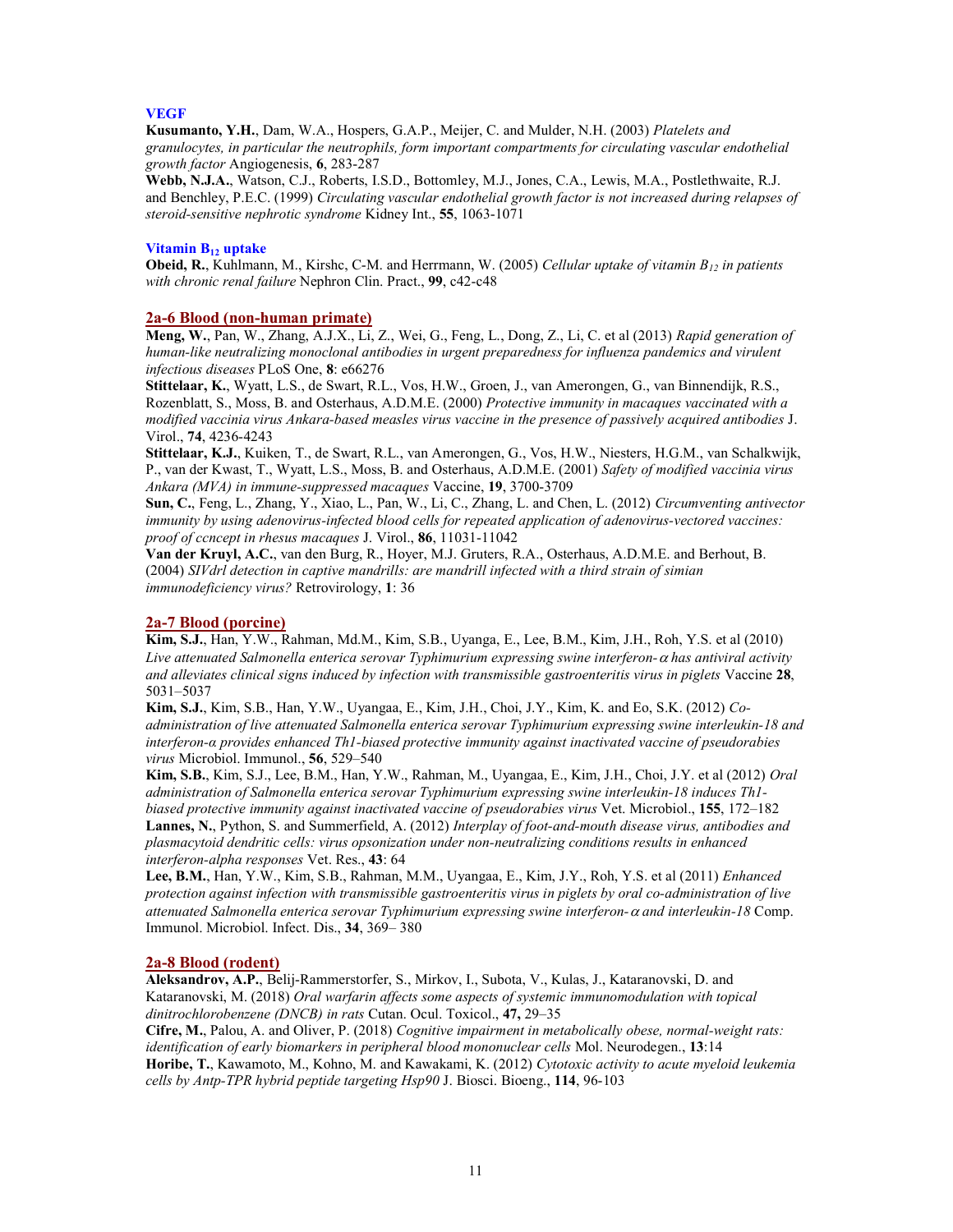### VEGF

Kusumanto, Y.H., Dam, W.A., Hospers, G.A.P., Meijer, C. and Mulder, N.H. (2003) Platelets and granulocytes, in particular the neutrophils, form important compartments for circulating vascular endothelial growth factor Angiogenesis, 6, 283-287

Webb, N.J.A., Watson, C.J., Roberts, I.S.D., Bottomley, M.J., Jones, C.A., Lewis, M.A., Postlethwaite, R.J. and Benchley, P.E.C. (1999) Circulating vascular endothelial growth factor is not increased during relapses of steroid-sensitive nephrotic syndrome Kidney Int., 55, 1063-1071

### Vitamin  $B_{12}$  uptake

**Obeid, R., Kuhlmann, M., Kirshc, C-M. and Herrmann, W. (2005) Cellular uptake of vitamin B<sub>12</sub> in patients** with chronic renal failure Nephron Clin. Pract., 99, c42-c48

### 2a-6 Blood (non-human primate)

Meng, W., Pan, W., Zhang, A.J.X., Li, Z., Wei, G., Feng, L., Dong, Z., Li, C. et al (2013) Rapid generation of human-like neutralizing monoclonal antibodies in urgent preparedness for influenza pandemics and virulent infectious diseases PLoS One, 8: e66276

Stittelaar, K., Wyatt, L.S., de Swart, R.L., Vos, H.W., Groen, J., van Amerongen, G., van Binnendijk, R.S., Rozenblatt, S., Moss, B. and Osterhaus, A.D.M.E. (2000) Protective immunity in macaques vaccinated with a modified vaccinia virus Ankara-based measles virus vaccine in the presence of passively acquired antibodies J. Virol., 74, 4236-4243

Stittelaar, K.J., Kuiken, T., de Swart, R.L., van Amerongen, G., Vos, H.W., Niesters, H.G.M., van Schalkwijk, P., van der Kwast, T., Wyatt, L.S., Moss, B. and Osterhaus, A.D.M.E. (2001) Safety of modified vaccinia virus Ankara (MVA) in immune-suppressed macaques Vaccine, 19, 3700-3709

Sun, C., Feng, L., Zhang, Y., Xiao, L., Pan, W., Li, C., Zhang, L. and Chen, L. (2012) Circumventing antivector immunity by using adenovirus-infected blood cells for repeated application of adenovirus-vectored vaccines: proof of ccncept in rhesus macaques J. Virol., 86, 11031-11042

Van der Kruyl, A.C., van den Burg, R., Hoyer, M.J. Gruters, R.A., Osterhaus, A.D.M.E. and Berhout, B. (2004) SIVdrl detection in captive mandrills: are mandrill infected with a third strain of simian immunodeficiency virus? Retrovirology, 1: 36

## 2a-7 Blood (porcine)

Kim, S.J., Han, Y.W., Rahman, Md.M., Kim, S.B., Uyanga, E., Lee, B.M., Kim, J.H., Roh, Y.S. et al (2010) Live attenuated Salmonella enterica serovar Typhimurium expressing swine interferon-  $\alpha$  has antiviral activity and alleviates clinical signs induced by infection with transmissible gastroenteritis virus in piglets Vaccine  $28$ , 5031–5037

Kim, S.J., Kim, S.B., Han, Y.W., Uyangaa, E., Kim, J.H., Choi, J.Y., Kim, K. and Eo, S.K. (2012) Coadministration of live attenuated Salmonella enterica serovar Typhimurium expressing swine interleukin-18 and interferon-α provides enhanced Th1-biased protective immunity against inactivated vaccine of pseudorabies virus Microbiol. Immunol., 56, 529–540

Kim, S.B., Kim, S.J., Lee, B.M., Han, Y.W., Rahman, M., Uyangaa, E., Kim, J.H., Choi, J.Y. et al (2012) Oral administration of Salmonella enterica serovar Typhimurium expressing swine interleukin-18 induces Th1 biased protective immunity against inactivated vaccine of pseudorabies virus Vet. Microbiol., 155, 172–182 Lannes, N., Python, S. and Summerfield, A. (2012) Interplay of foot-and-mouth disease virus, antibodies and plasmacytoid dendritic cells: virus opsonization under non-neutralizing conditions results in enhanced interferon-alpha responses Vet. Res., 43: 64

Lee, B.M., Han, Y.W., Kim, S.B., Rahman, M.M., Uyangaa, E., Kim, J.Y., Roh, Y.S. et al (2011) Enhanced protection against infection with transmissible gastroenteritis virus in piglets by oral co-administration of live attenuated Salmonella enterica serovar Typhimurium expressing swine interferon-  $\alpha$  and interleukin-18 Comp. Immunol. Microbiol. Infect. Dis., 34, 369– 380

### 2a-8 Blood (rodent)

Aleksandrov, A.P., Belij-Rammerstorfer, S., Mirkov, I., Subota, V., Kulas, J., Kataranovski, D. and Kataranovski, M. (2018) Oral warfarin affects some aspects of systemic immunomodulation with topical dinitrochlorobenzene (DNCB) in rats Cutan. Ocul. Toxicol., 47, 29–35

Cifre, M., Palou, A. and Oliver, P. (2018) Cognitive impairment in metabolically obese, normal-weight rats: identification of early biomarkers in peripheral blood mononuclear cells Mol. Neurodegen., 13:14

Horibe, T., Kawamoto, M., Kohno, M. and Kawakami, K. (2012) Cytotoxic activity to acute myeloid leukemia cells by Antp-TPR hybrid peptide targeting Hsp90 J. Biosci. Bioeng., 114, 96-103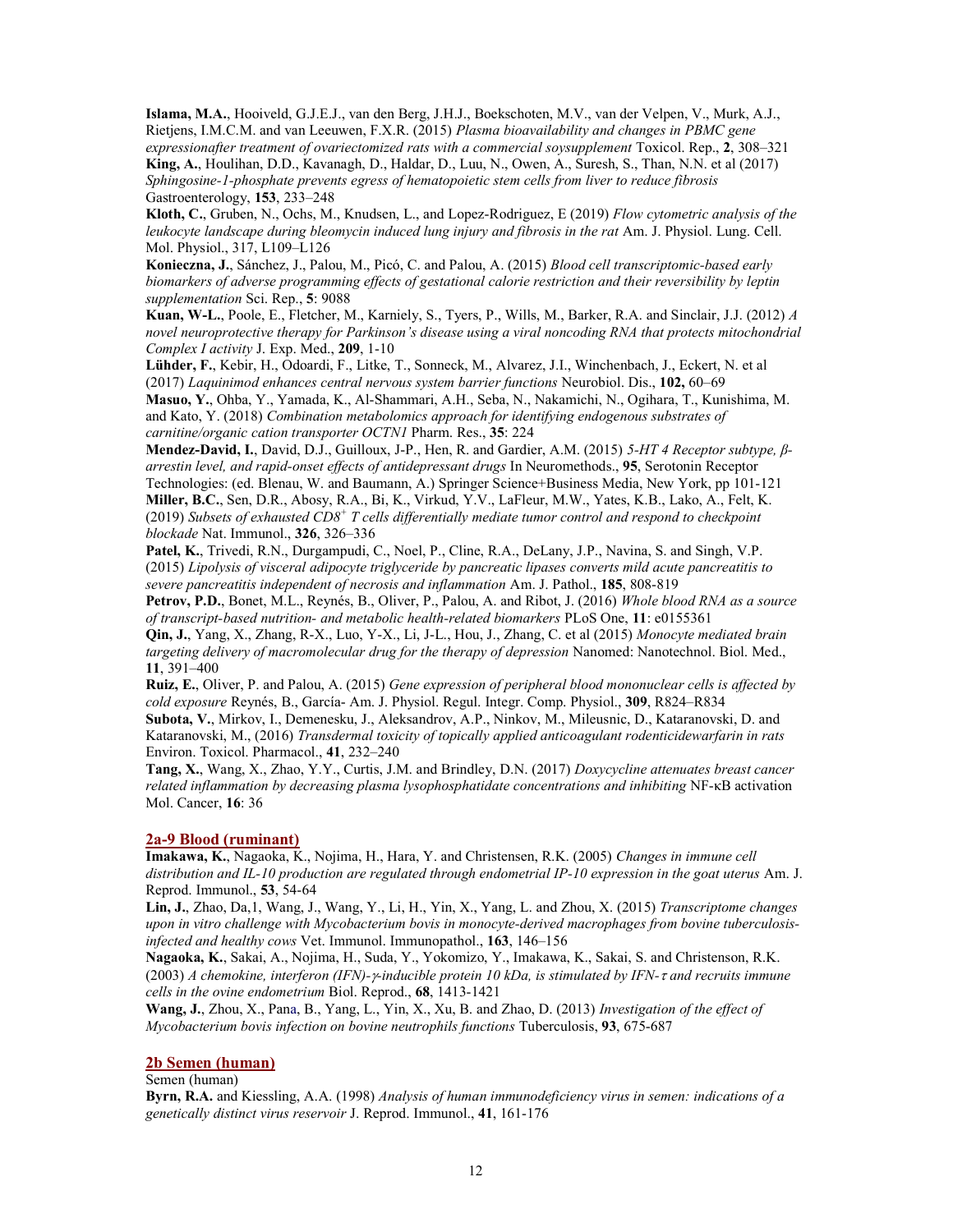Islama, M.A., Hooiveld, G.J.E.J., van den Berg, J.H.J., Boekschoten, M.V., van der Velpen, V., Murk, A.J., Rietjens, I.M.C.M. and van Leeuwen, F.X.R. (2015) Plasma bioavailability and changes in PBMC gene expressionafter treatment of ovariectomized rats with a commercial soysupplement Toxicol. Rep., 2, 308–321 King, A., Houlihan, D.D., Kavanagh, D., Haldar, D., Luu, N., Owen, A., Suresh, S., Than, N.N. et al (2017) Sphingosine-1-phosphate prevents egress of hematopoietic stem cells from liver to reduce fibrosis Gastroenterology, 153, 233–248

Kloth, C., Gruben, N., Ochs, M., Knudsen, L., and Lopez-Rodriguez, E (2019) Flow cytometric analysis of the leukocyte landscape during bleomycin induced lung injury and fibrosis in the rat Am. J. Physiol. Lung. Cell. Mol. Physiol., 317, L109–L126

Konieczna, J., Sánchez, J., Palou, M., Picó, C. and Palou, A. (2015) Blood cell transcriptomic-based early biomarkers of adverse programming effects of gestational calorie restriction and their reversibility by leptin supplementation Sci. Rep., 5: 9088

Kuan, W-L., Poole, E., Fletcher, M., Karniely, S., Tyers, P., Wills, M., Barker, R.A. and Sinclair, J.J. (2012) A novel neuroprotective therapy for Parkinson's disease using a viral noncoding RNA that protects mitochondrial Complex I activity J. Exp. Med., 209, 1-10

Lühder, F., Kebir, H., Odoardi, F., Litke, T., Sonneck, M., Alvarez, J.I., Winchenbach, J., Eckert, N. et al (2017) Laquinimod enhances central nervous system barrier functions Neurobiol. Dis., 102, 60–69

Masuo, Y., Ohba, Y., Yamada, K., Al-Shammari, A.H., Seba, N., Nakamichi, N., Ogihara, T., Kunishima, M. and Kato, Y. (2018) Combination metabolomics approach for identifying endogenous substrates of carnitine/organic cation transporter OCTN1 Pharm. Res., 35: 224

Mendez-David, I., David, D.J., Guilloux, J-P., Hen, R. and Gardier, A.M. (2015) 5-HT 4 Receptor subtype, βarrestin level, and rapid-onset effects of antidepressant drugs In Neuromethods., 95, Serotonin Receptor Technologies: (ed. Blenau, W. and Baumann, A.) Springer Science+Business Media, New York, pp 101-121 Miller, B.C., Sen, D.R., Abosy, R.A., Bi, K., Virkud, Y.V., LaFleur, M.W., Yates, K.B., Lako, A., Felt, K.

(2019) Subsets of exhausted CD8<sup>+</sup> T cells differentially mediate tumor control and respond to checkpoint blockade Nat. Immunol., 326, 326–336

Patel, K., Trivedi, R.N., Durgampudi, C., Noel, P., Cline, R.A., DeLany, J.P., Navina, S. and Singh, V.P. (2015) Lipolysis of visceral adipocyte triglyceride by pancreatic lipases converts mild acute pancreatitis to severe pancreatitis independent of necrosis and inflammation Am. J. Pathol., 185, 808-819

Petrov, P.D., Bonet, M.L., Reynés, B., Oliver, P., Palou, A. and Ribot, J. (2016) Whole blood RNA as a source of transcript-based nutrition- and metabolic health-related biomarkers PLoS One, 11: e0155361

Qin, J., Yang, X., Zhang, R-X., Luo, Y-X., Li, J-L., Hou, J., Zhang, C. et al (2015) Monocyte mediated brain targeting delivery of macromolecular drug for the therapy of depression Nanomed: Nanotechnol. Biol. Med., 11, 391–400

Ruiz, E., Oliver, P. and Palou, A. (2015) Gene expression of peripheral blood mononuclear cells is affected by cold exposure Reynés, B., García- Am. J. Physiol. Regul. Integr. Comp. Physiol., 309, R824–R834

Subota, V., Mirkov, I., Demenesku, J., Aleksandrov, A.P., Ninkov, M., Mileusnic, D., Kataranovski, D. and Kataranovski, M., (2016) Transdermal toxicity of topically applied anticoagulant rodenticidewarfarin in rats Environ. Toxicol. Pharmacol., 41, 232–240

Tang, X., Wang, X., Zhao, Y.Y., Curtis, J.M. and Brindley, D.N. (2017) Doxycycline attenuates breast cancer related inflammation by decreasing plasma lysophosphatidate concentrations and inhibiting NF-κB activation Mol. Cancer, 16: 36

## 2a-9 Blood (ruminant)

Imakawa, K., Nagaoka, K., Nojima, H., Hara, Y. and Christensen, R.K. (2005) Changes in immune cell distribution and IL-10 production are regulated through endometrial IP-10 expression in the goat uterus Am. J. Reprod. Immunol., 53, 54-64

Lin, J., Zhao, Da, 1, Wang, J., Wang, Y., Li, H., Yin, X., Yang, L. and Zhou, X. (2015) Transcriptome changes upon in vitro challenge with Mycobacterium bovis in monocyte-derived macrophages from bovine tuberculosisinfected and healthy cows Vet. Immunol. Immunopathol., 163, 146–156

Nagaoka, K., Sakai, A., Nojima, H., Suda, Y., Yokomizo, Y., Imakawa, K., Sakai, S. and Christenson, R.K. (2003) A chemokine, interferon (IFN)- $\gamma$ -inducible protein 10 kDa, is stimulated by IFN- $\tau$  and recruits immune cells in the ovine endometrium Biol. Reprod., 68, 1413-1421

Wang, J., Zhou, X., Pana, B., Yang, L., Yin, X., Xu, B. and Zhao, D. (2013) Investigation of the effect of Mycobacterium bovis infection on bovine neutrophils functions Tuberculosis, 93, 675-687

## 2b Semen (human)

Semen (human)

Byrn, R.A. and Kiessling, A.A. (1998) Analysis of human immunodeficiency virus in semen: indications of a genetically distinct virus reservoir J. Reprod. Immunol., 41, 161-176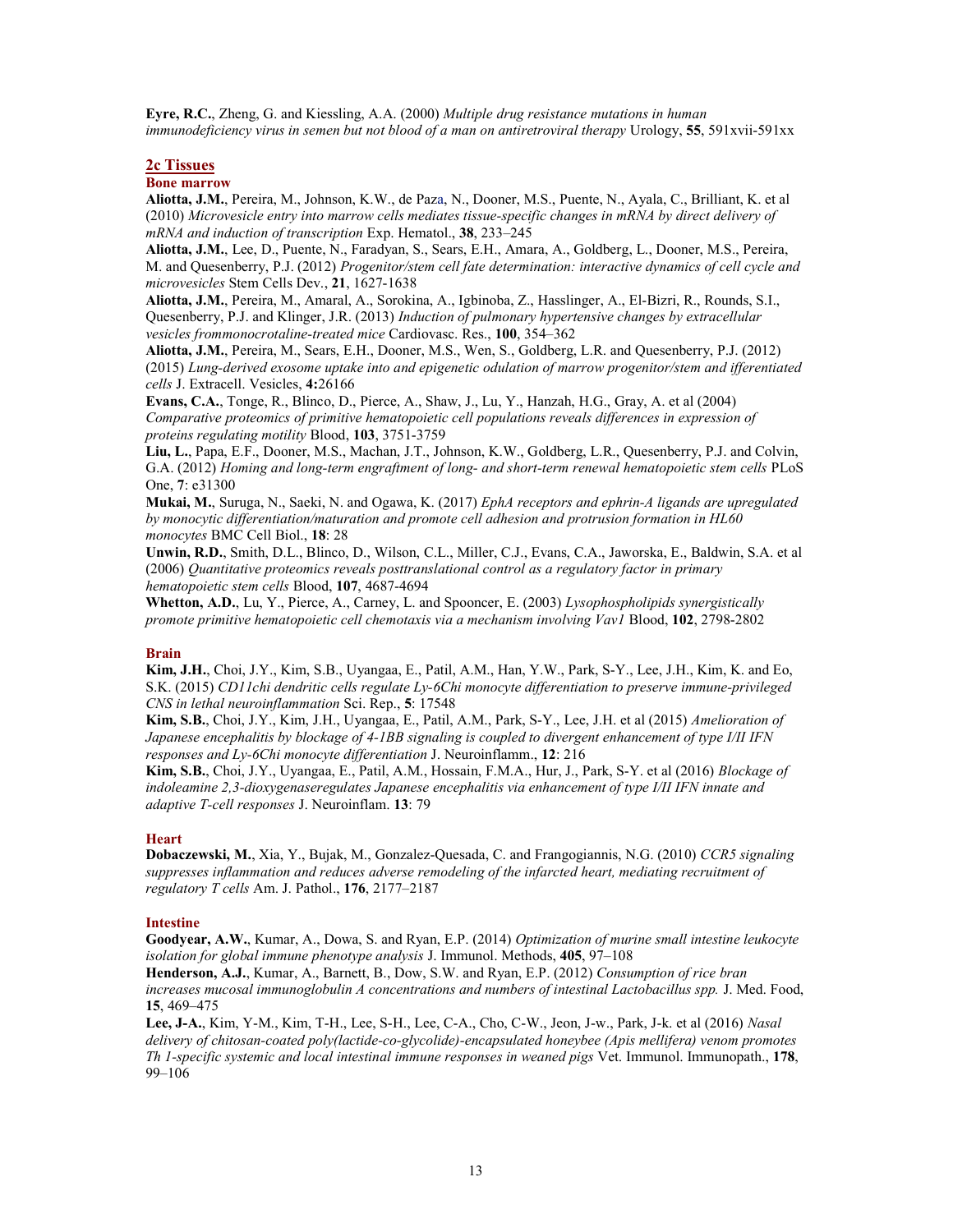Eyre, R.C., Zheng, G. and Kiessling, A.A. (2000) Multiple drug resistance mutations in human immunodeficiency virus in semen but not blood of a man on antiretroviral therapy Urology,  $55$ ,  $591$ xvii- $591xx$ 

## 2c Tissues

## Bone marrow

Aliotta, J.M., Pereira, M., Johnson, K.W., de Paza, N., Dooner, M.S., Puente, N., Ayala, C., Brilliant, K. et al (2010) Microvesicle entry into marrow cells mediates tissue-specific changes in mRNA by direct delivery of mRNA and induction of transcription Exp. Hematol., 38, 233-245

Aliotta, J.M., Lee, D., Puente, N., Faradyan, S., Sears, E.H., Amara, A., Goldberg, L., Dooner, M.S., Pereira, M. and Quesenberry, P.J. (2012) Progenitor/stem cell fate determination: interactive dynamics of cell cycle and microvesicles Stem Cells Dev., 21, 1627-1638

Aliotta, J.M., Pereira, M., Amaral, A., Sorokina, A., Igbinoba, Z., Hasslinger, A., El-Bizri, R., Rounds, S.I., Quesenberry, P.J. and Klinger, J.R. (2013) Induction of pulmonary hypertensive changes by extracellular vesicles frommonocrotaline-treated mice Cardiovasc. Res., 100, 354–362

Aliotta, J.M., Pereira, M., Sears, E.H., Dooner, M.S., Wen, S., Goldberg, L.R. and Quesenberry, P.J. (2012) (2015) Lung-derived exosome uptake into and epigenetic odulation of marrow progenitor/stem and ifferentiated cells J. Extracell. Vesicles, 4:26166

Evans, C.A., Tonge, R., Blinco, D., Pierce, A., Shaw, J., Lu, Y., Hanzah, H.G., Gray, A. et al (2004) Comparative proteomics of primitive hematopoietic cell populations reveals differences in expression of proteins regulating motility Blood, 103, 3751-3759

Liu, L., Papa, E.F., Dooner, M.S., Machan, J.T., Johnson, K.W., Goldberg, L.R., Quesenberry, P.J. and Colvin, G.A. (2012) Homing and long-term engraftment of long- and short-term renewal hematopoietic stem cells PLoS One, 7: e31300

Mukai, M., Suruga, N., Saeki, N. and Ogawa, K. (2017) EphA receptors and ephrin-A ligands are upregulated by monocytic differentiation/maturation and promote cell adhesion and protrusion formation in HL60 monocytes BMC Cell Biol., 18: 28

Unwin, R.D., Smith, D.L., Blinco, D., Wilson, C.L., Miller, C.J., Evans, C.A., Jaworska, E., Baldwin, S.A. et al (2006) Quantitative proteomics reveals posttranslational control as a regulatory factor in primary hematopoietic stem cells Blood, 107, 4687-4694

Whetton, A.D., Lu, Y., Pierce, A., Carney, L. and Spooncer, E. (2003) Lysophospholipids synergistically promote primitive hematopoietic cell chemotaxis via a mechanism involving Vav1 Blood, 102, 2798-2802

## Brain

Kim, J.H., Choi, J.Y., Kim, S.B., Uyangaa, E., Patil, A.M., Han, Y.W., Park, S-Y., Lee, J.H., Kim, K. and Eo, S.K. (2015) CD11chi dendritic cells regulate Ly-6Chi monocyte differentiation to preserve immune-privileged CNS in lethal neuroinflammation Sci. Rep., 5: 17548

Kim, S.B., Choi, J.Y., Kim, J.H., Uyangaa, E., Patil, A.M., Park, S-Y., Lee, J.H. et al (2015) Amelioration of Japanese encephalitis by blockage of 4-1BB signaling is coupled to divergent enhancement of type I/II IFN responses and Ly-6Chi monocyte differentiation J. Neuroinflamm., 12: 216

Kim, S.B., Choi, J.Y., Uyangaa, E., Patil, A.M., Hossain, F.M.A., Hur, J., Park, S-Y. et al (2016) Blockage of indoleamine 2,3-dioxygenaseregulates Japanese encephalitis via enhancement of type I/II IFN innate and adaptive T-cell responses J. Neuroinflam. 13: 79

## **Heart**

Dobaczewski, M., Xia, Y., Bujak, M., Gonzalez-Quesada, C. and Frangogiannis, N.G. (2010) CCR5 signaling suppresses inflammation and reduces adverse remodeling of the infarcted heart, mediating recruitment of regulatory T cells Am. J. Pathol., 176, 2177–2187

## Intestine

Goodyear, A.W., Kumar, A., Dowa, S. and Ryan, E.P. (2014) Optimization of murine small intestine leukocyte isolation for global immune phenotype analysis J. Immunol. Methods, 405, 97-108

Henderson, A.J., Kumar, A., Barnett, B., Dow, S.W. and Ryan, E.P. (2012) Consumption of rice bran increases mucosal immunoglobulin A concentrations and numbers of intestinal Lactobacillus spp. J. Med. Food, 15, 469–475

Lee, J-A., Kim, Y-M., Kim, T-H., Lee, S-H., Lee, C-A., Cho, C-W., Jeon, J-w., Park, J-k. et al (2016) Nasal delivery of chitosan-coated poly(lactide-co-glycolide)-encapsulated honeybee (Apis mellifera) venom promotes Th 1-specific systemic and local intestinal immune responses in weaned pigs Vet. Immunol. Immunopath., 178, 99–106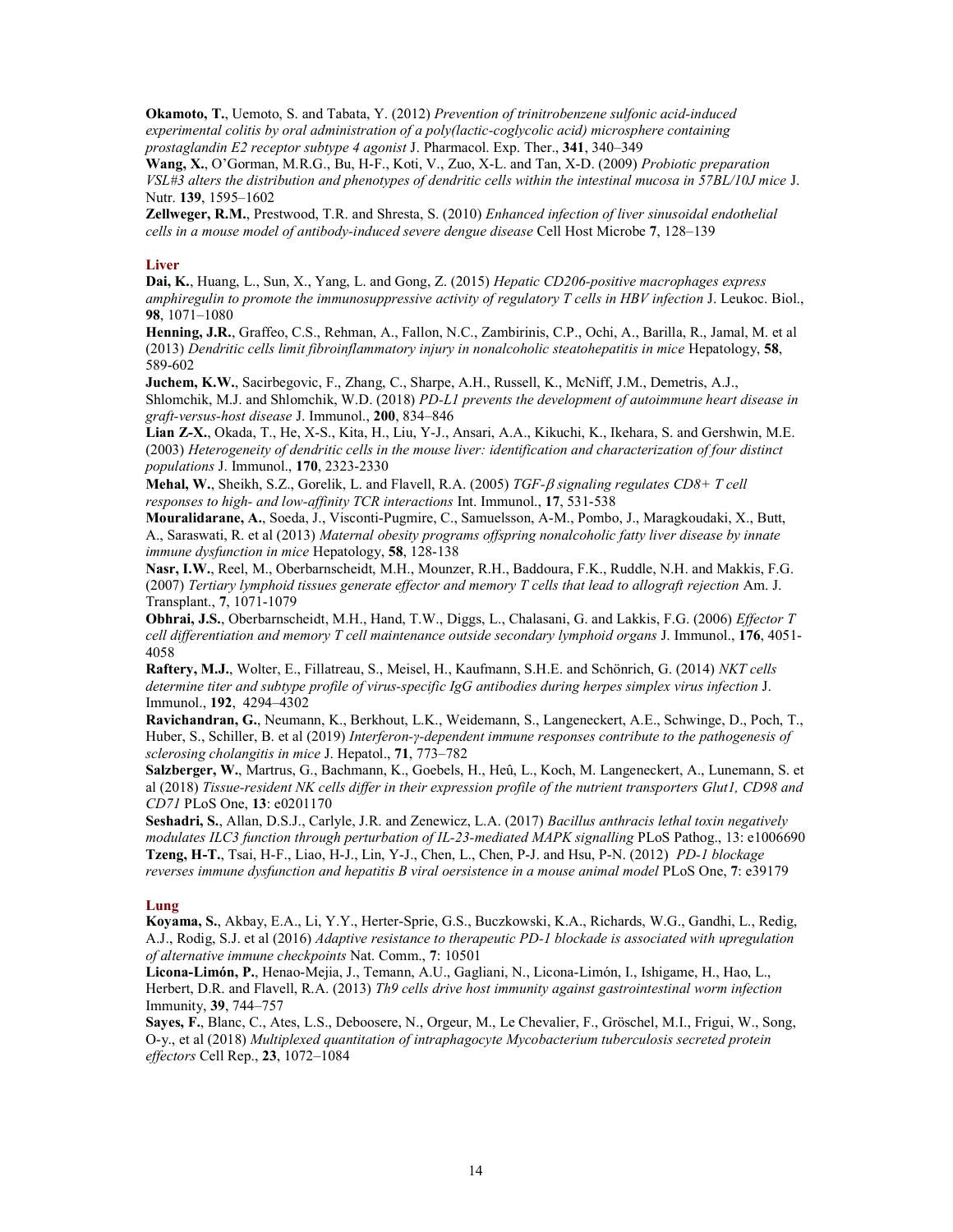Okamoto, T., Uemoto, S. and Tabata, Y. (2012) Prevention of trinitrobenzene sulfonic acid-induced experimental colitis by oral administration of a poly(lactic-coglycolic acid) microsphere containing prostaglandin E2 receptor subtype 4 agonist J. Pharmacol. Exp. Ther., 341, 340–349

Wang, X., O'Gorman, M.R.G., Bu, H-F., Koti, V., Zuo, X-L. and Tan, X-D. (2009) Probiotic preparation VSL#3 alters the distribution and phenotypes of dendritic cells within the intestinal mucosa in 57BL/10J mice J. Nutr. 139, 1595–1602

Zellweger, R.M., Prestwood, T.R. and Shresta, S. (2010) Enhanced infection of liver sinusoidal endothelial cells in a mouse model of antibody-induced severe dengue disease Cell Host Microbe 7, 128–139

### Liver

Dai, K., Huang, L., Sun, X., Yang, L. and Gong, Z. (2015) Hepatic CD206-positive macrophages express amphiregulin to promote the immunosuppressive activity of regulatory T cells in HBV infection J. Leukoc. Biol., 98, 1071–1080

Henning, J.R., Graffeo, C.S., Rehman, A., Fallon, N.C., Zambirinis, C.P., Ochi, A., Barilla, R., Jamal, M. et al (2013) Dendritic cells limit fibroinflammatory injury in nonalcoholic steatohepatitis in mice Hepatology,  $58$ , 589-602

Juchem, K.W., Sacirbegovic, F., Zhang, C., Sharpe, A.H., Russell, K., McNiff, J.M., Demetris, A.J., Shlomchik, M.J. and Shlomchik, W.D. (2018) PD-L1 prevents the development of autoimmune heart disease in graft-versus-host disease J. Immunol., 200, 834–846

Lian Z-X., Okada, T., He, X-S., Kita, H., Liu, Y-J., Ansari, A.A., Kikuchi, K., Ikehara, S. and Gershwin, M.E. (2003) Heterogeneity of dendritic cells in the mouse liver: identification and characterization of four distinct populations J. Immunol., 170, 2323-2330

Mehal, W., Sheikh, S.Z., Gorelik, L. and Flavell, R.A. (2005) TGF- $\beta$  signaling regulates CD8+ T cell responses to high- and low-affinity TCR interactions Int. Immunol., 17, 531-538

Mouralidarane, A., Soeda, J., Visconti-Pugmire, C., Samuelsson, A-M., Pombo, J., Maragkoudaki, X., Butt, A., Saraswati, R. et al (2013) Maternal obesity programs offspring nonalcoholic fatty liver disease by innate immune dysfunction in mice Hepatology, 58, 128-138

Nasr, I.W., Reel, M., Oberbarnscheidt, M.H., Mounzer, R.H., Baddoura, F.K., Ruddle, N.H. and Makkis, F.G. (2007) Tertiary lymphoid tissues generate effector and memory T cells that lead to allograft rejection Am. J. Transplant., 7, 1071-1079

Obhrai, J.S., Oberbarnscheidt, M.H., Hand, T.W., Diggs, L., Chalasani, G. and Lakkis, F.G. (2006) Effector T cell differentiation and memory T cell maintenance outside secondary lymphoid organs J. Immunol., 176, 4051- 4058

Raftery, M.J., Wolter, E., Fillatreau, S., Meisel, H., Kaufmann, S.H.E. and Schönrich, G. (2014) NKT cells determine titer and subtype profile of virus-specific IgG antibodies during herpes simplex virus infection J. Immunol., 192, 4294–4302

Ravichandran, G., Neumann, K., Berkhout, L.K., Weidemann, S., Langeneckert, A.E., Schwinge, D., Poch, T., Huber, S., Schiller, B. et al (2019) Interferon-γ-dependent immune responses contribute to the pathogenesis of sclerosing cholangitis in mice J. Hepatol., 71, 773–782

Salzberger, W., Martrus, G., Bachmann, K., Goebels, H., Heû, L., Koch, M. Langeneckert, A., Lunemann, S. et al (2018) Tissue-resident NK cells differ in their expression profile of the nutrient transporters Glut1, CD98 and CD71 PLoS One, 13: e0201170

Seshadri, S., Allan, D.S.J., Carlyle, J.R. and Zenewicz, L.A. (2017) Bacillus anthracis lethal toxin negatively modulates ILC3 function through perturbation of IL-23-mediated MAPK signalling PLoS Pathog., 13: e1006690 Tzeng, H-T., Tsai, H-F., Liao, H-J., Lin, Y-J., Chen, L., Chen, P-J. and Hsu, P-N. (2012) PD-1 blockage reverses immune dysfunction and hepatitis B viral oersistence in a mouse animal model PLoS One, 7: e39179

### Lung

Koyama, S., Akbay, E.A., Li, Y.Y., Herter-Sprie, G.S., Buczkowski, K.A., Richards, W.G., Gandhi, L., Redig, A.J., Rodig, S.J. et al (2016) Adaptive resistance to therapeutic PD-1 blockade is associated with upregulation of alternative immune checkpoints Nat. Comm., 7: 10501

Licona-Limón, P., Henao-Mejia, J., Temann, A.U., Gagliani, N., Licona-Limón, I., Ishigame, H., Hao, L., Herbert, D.R. and Flavell, R.A. (2013) Th9 cells drive host immunity against gastrointestinal worm infection Immunity, 39, 744–757

Sayes, F., Blanc, C., Ates, L.S., Deboosere, N., Orgeur, M., Le Chevalier, F., Gröschel, M.I., Frigui, W., Song, O-y., et al (2018) Multiplexed quantitation of intraphagocyte Mycobacterium tuberculosis secreted protein effectors Cell Rep., 23, 1072–1084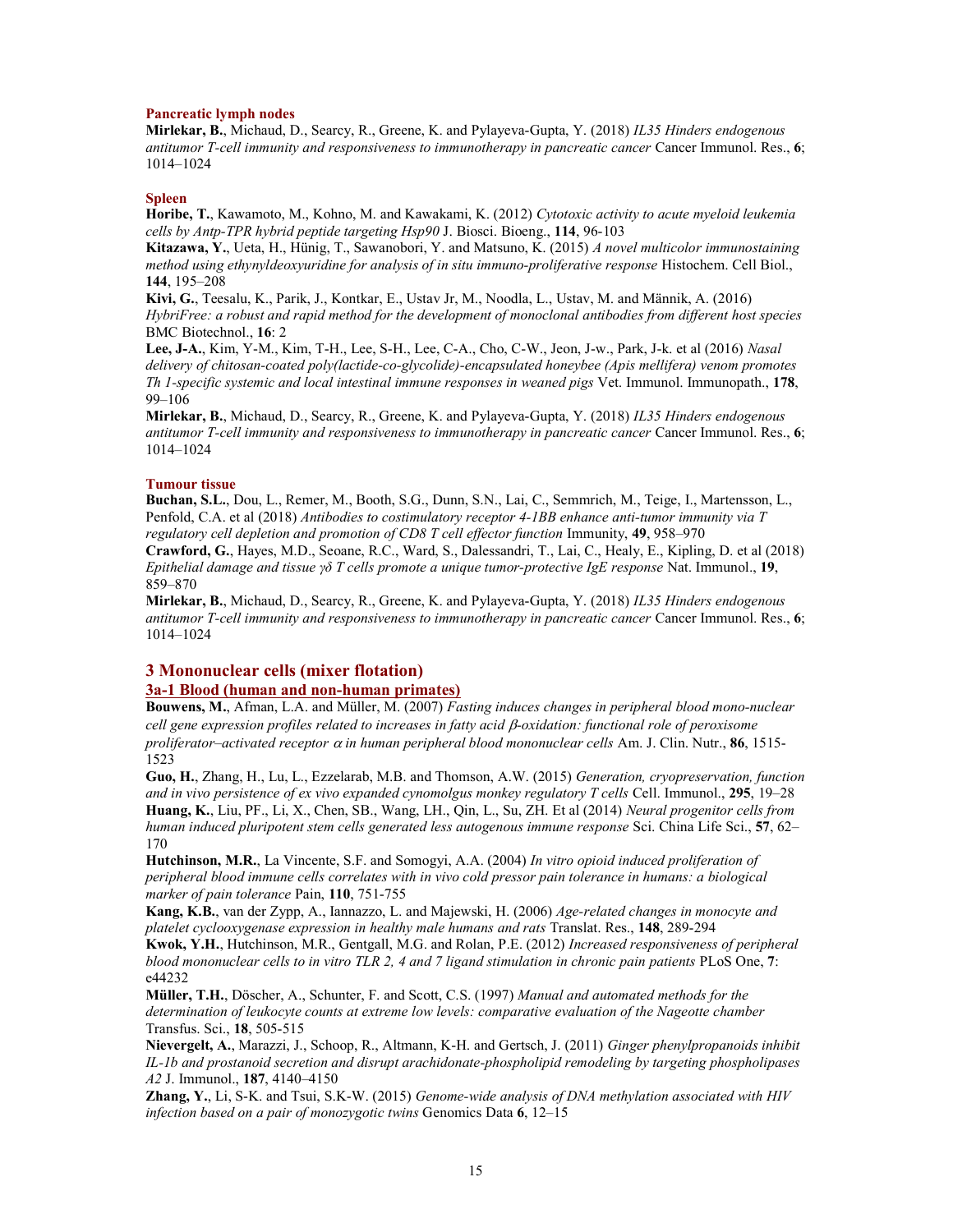### Pancreatic lymph nodes

Mirlekar, B., Michaud, D., Searcy, R., Greene, K. and Pylayeva-Gupta, Y. (2018) IL35 Hinders endogenous antitumor T-cell immunity and responsiveness to immunotherapy in pancreatic cancer Cancer Immunol. Res., 6; 1014–1024

### Spleen

Horibe, T., Kawamoto, M., Kohno, M. and Kawakami, K. (2012) Cytotoxic activity to acute myeloid leukemia cells by Antp-TPR hybrid peptide targeting Hsp90 J. Biosci. Bioeng., 114, 96-103

Kitazawa, Y., Ueta, H., Hünig, T., Sawanobori, Y. and Matsuno, K. (2015) A novel multicolor immunostaining method using ethynyldeoxyuridine for analysis of in situ immuno-proliferative response Histochem. Cell Biol., 144, 195–208

Kivi, G., Teesalu, K., Parik, J., Kontkar, E., Ustav Jr, M., Noodla, L., Ustav, M. and Männik, A. (2016) HybriFree: a robust and rapid method for the development of monoclonal antibodies from different host species BMC Biotechnol., 16: 2

Lee, J-A., Kim, Y-M., Kim, T-H., Lee, S-H., Lee, C-A., Cho, C-W., Jeon, J-w., Park, J-k. et al (2016) Nasal delivery of chitosan-coated poly(lactide-co-glycolide)-encapsulated honeybee (Apis mellifera) venom promotes Th 1-specific systemic and local intestinal immune responses in weaned pigs Vet. Immunol. Immunopath., 178, 99–106

Mirlekar, B., Michaud, D., Searcy, R., Greene, K. and Pylayeva-Gupta, Y. (2018) IL35 Hinders endogenous antitumor T-cell immunity and responsiveness to immunotherapy in pancreatic cancer Cancer Immunol. Res., 6; 1014–1024

### Tumour tissue

Buchan, S.L., Dou, L., Remer, M., Booth, S.G., Dunn, S.N., Lai, C., Semmrich, M., Teige, I., Martensson, L., Penfold, C.A. et al (2018) Antibodies to costimulatory receptor 4-1BB enhance anti-tumor immunity via T regulatory cell depletion and promotion of CD8 T cell effector function Immunity, 49, 958–970 Crawford, G., Hayes, M.D., Seoane, R.C., Ward, S., Dalessandri, T., Lai, C., Healy, E., Kipling, D. et al (2018) Epithelial damage and tissue γδ T cells promote a unique tumor-protective IgE response Nat. Immunol., 19,

859–870

Mirlekar, B., Michaud, D., Searcy, R., Greene, K. and Pylayeva-Gupta, Y. (2018) IL35 Hinders endogenous antitumor T-cell immunity and responsiveness to immunotherapy in pancreatic cancer Cancer Immunol. Res., 6; 1014–1024

## 3 Mononuclear cells (mixer flotation)

## 3a-1 Blood (human and non-human primates)

Bouwens, M., Afman, L.A. and Müller, M. (2007) Fasting induces changes in peripheral blood mono-nuclear cell gene expression profiles related to increases in fatty acid *ß*-oxidation: functional role of peroxisome proliferator–activated receptor  $\alpha$  in human peripheral blood mononuclear cells Am. J. Clin. Nutr., 86, 1515-1523

Guo, H., Zhang, H., Lu, L., Ezzelarab, M.B. and Thomson, A.W. (2015) Generation, cryopreservation, function and in vivo persistence of ex vivo expanded cynomolgus monkey regulatory T cells Cell. Immunol., 295, 19–28 Huang, K., Liu, PF., Li, X., Chen, SB., Wang, LH., Qin, L., Su, ZH. Et al (2014) Neural progenitor cells from human induced pluripotent stem cells generated less autogenous immune response Sci. China Life Sci., 57, 62– 170

Hutchinson, M.R., La Vincente, S.F. and Somogyi, A.A. (2004) In vitro opioid induced proliferation of peripheral blood immune cells correlates with in vivo cold pressor pain tolerance in humans: a biological marker of pain tolerance Pain, 110, 751-755

Kang, K.B., van der Zypp, A., Iannazzo, L. and Majewski, H. (2006) Age-related changes in monocyte and platelet cyclooxygenase expression in healthy male humans and rats Translat. Res., 148, 289-294

Kwok, Y.H., Hutchinson, M.R., Gentgall, M.G. and Rolan, P.E. (2012) Increased responsiveness of peripheral blood mononuclear cells to in vitro TLR 2, 4 and 7 ligand stimulation in chronic pain patients PLoS One, 7: e44232

Müller, T.H., Döscher, A., Schunter, F. and Scott, C.S. (1997) Manual and automated methods for the determination of leukocyte counts at extreme low levels: comparative evaluation of the Nageotte chamber Transfus. Sci., 18, 505-515

Nievergelt, A., Marazzi, J., Schoop, R., Altmann, K-H. and Gertsch, J. (2011) Ginger phenylpropanoids inhibit IL-1b and prostanoid secretion and disrupt arachidonate-phospholipid remodeling by targeting phospholipases A2 J. Immunol., 187, 4140–4150

Zhang, Y., Li, S-K. and Tsui, S.K-W. (2015) Genome-wide analysis of DNA methylation associated with HIV infection based on a pair of monozygotic twins Genomics Data  $6$ , 12–15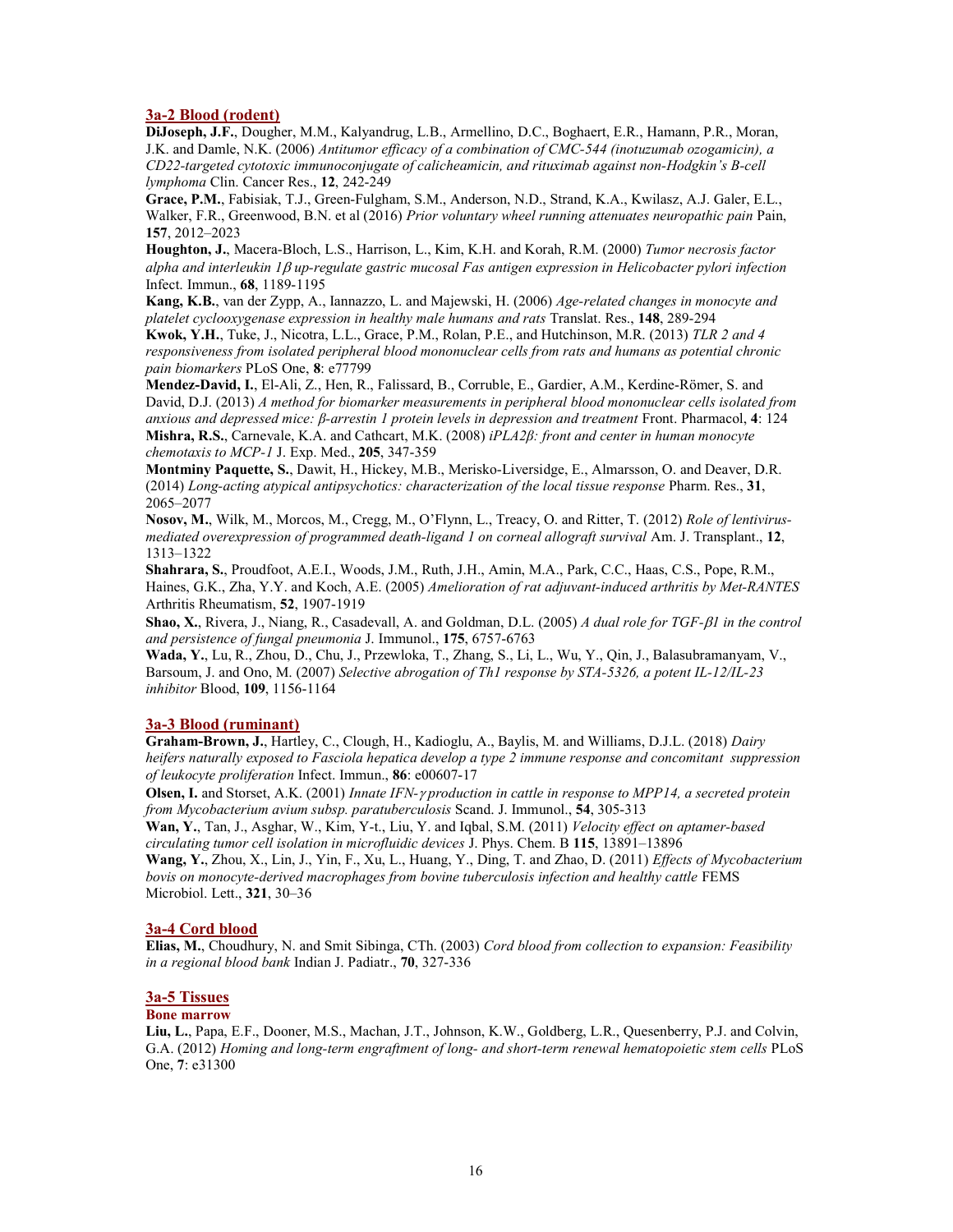## 3a-2 Blood (rodent)

DiJoseph, J.F., Dougher, M.M., Kalyandrug, L.B., Armellino, D.C., Boghaert, E.R., Hamann, P.R., Moran, J.K. and Damle, N.K. (2006) Antitumor efficacy of a combination of CMC-544 (inotuzumab ozogamicin), a CD22-targeted cytotoxic immunoconjugate of calicheamicin, and rituximab against non-Hodgkin's B-cell lymphoma Clin. Cancer Res., 12, 242-249

Grace, P.M., Fabisiak, T.J., Green-Fulgham, S.M., Anderson, N.D., Strand, K.A., Kwilasz, A.J. Galer, E.L., Walker, F.R., Greenwood, B.N. et al (2016) Prior voluntary wheel running attenuates neuropathic pain Pain, 157, 2012–2023

Houghton, J., Macera-Bloch, L.S., Harrison, L., Kim, K.H. and Korah, R.M. (2000) Tumor necrosis factor alpha and interleukin  $1\beta$  up-regulate gastric mucosal Fas antigen expression in Helicobacter pylori infection Infect. Immun., 68, 1189-1195

Kang, K.B., van der Zypp, A., Iannazzo, L. and Majewski, H. (2006) Age-related changes in monocyte and platelet cyclooxygenase expression in healthy male humans and rats Translat. Res., 148, 289-294

Kwok, Y.H., Tuke, J., Nicotra, L.L., Grace, P.M., Rolan, P.E., and Hutchinson, M.R. (2013) TLR 2 and 4 responsiveness from isolated peripheral blood mononuclear cells from rats and humans as potential chronic pain biomarkers PLoS One, 8: e77799

Mendez-David, I., El-Ali, Z., Hen, R., Falissard, B., Corruble, E., Gardier, A.M., Kerdine-Römer, S. and David, D.J. (2013) A method for biomarker measurements in peripheral blood mononuclear cells isolated from anxious and depressed mice: β-arrestin 1 protein levels in depression and treatment Front. Pharmacol, 4: 124 Mishra, R.S., Carnevale, K.A. and Cathcart, M.K. (2008) iPLA2β: front and center in human monocyte chemotaxis to MCP-1 J. Exp. Med., 205, 347-359

Montminy Paquette, S., Dawit, H., Hickey, M.B., Merisko-Liversidge, E., Almarsson, O. and Deaver, D.R. (2014) Long-acting atypical antipsychotics: characterization of the local tissue response Pharm. Res., 31, 2065–2077

Nosov, M., Wilk, M., Morcos, M., Cregg, M., O'Flynn, L., Treacy, O. and Ritter, T. (2012) Role of lentivirusmediated overexpression of programmed death-ligand 1 on corneal allograft survival Am. J. Transplant., 12, 1313–1322

Shahrara, S., Proudfoot, A.E.I., Woods, J.M., Ruth, J.H., Amin, M.A., Park, C.C., Haas, C.S., Pope, R.M., Haines, G.K., Zha, Y.Y. and Koch, A.E. (2005) Amelioration of rat adjuvant-induced arthritis by Met-RANTES Arthritis Rheumatism, 52, 1907-1919

Shao, X., Rivera, J., Niang, R., Casadevall, A. and Goldman, D.L. (2005) A dual role for TGF- $\beta$ l in the control and persistence of fungal pneumonia J. Immunol., 175, 6757-6763

Wada, Y., Lu, R., Zhou, D., Chu, J., Przewloka, T., Zhang, S., Li, L., Wu, Y., Qin, J., Balasubramanyam, V., Barsoum, J. and Ono, M. (2007) Selective abrogation of Th1 response by STA-5326, a potent IL-12/IL-23 inhibitor Blood, 109, 1156-1164

## 3a-3 Blood (ruminant)

Graham-Brown, J., Hartley, C., Clough, H., Kadioglu, A., Baylis, M. and Williams, D.J.L. (2018) Dairy heifers naturally exposed to Fasciola hepatica develop a type 2 immune response and concomitant suppression of leukocyte proliferation Infect. Immun., 86: e00607-17

Olsen, I. and Storset, A.K. (2001) Innate IFN-y production in cattle in response to MPP14, a secreted protein from Mycobacterium avium subsp. paratuberculosis Scand. J. Immunol., 54, 305-313

Wan, Y., Tan, J., Asghar, W., Kim, Y-t., Liu, Y. and Iqbal, S.M. (2011) Velocity effect on aptamer-based circulating tumor cell isolation in microfluidic devices J. Phys. Chem. B 115, 13891–13896

Wang, Y., Zhou, X., Lin, J., Yin, F., Xu, L., Huang, Y., Ding, T. and Zhao, D. (2011) Effects of Mycobacterium bovis on monocyte-derived macrophages from bovine tuberculosis infection and healthy cattle FEMS Microbiol. Lett., 321, 30–36

## 3a-4 Cord blood

Elias, M., Choudhury, N. and Smit Sibinga, CTh. (2003) Cord blood from collection to expansion: Feasibility in a regional blood bank Indian J. Padiatr., 70, 327-336

## 3a-5 Tissues

### Bone marrow

Liu, L., Papa, E.F., Dooner, M.S., Machan, J.T., Johnson, K.W., Goldberg, L.R., Quesenberry, P.J. and Colvin, G.A. (2012) Homing and long-term engraftment of long- and short-term renewal hematopoietic stem cells PLoS One, 7: e31300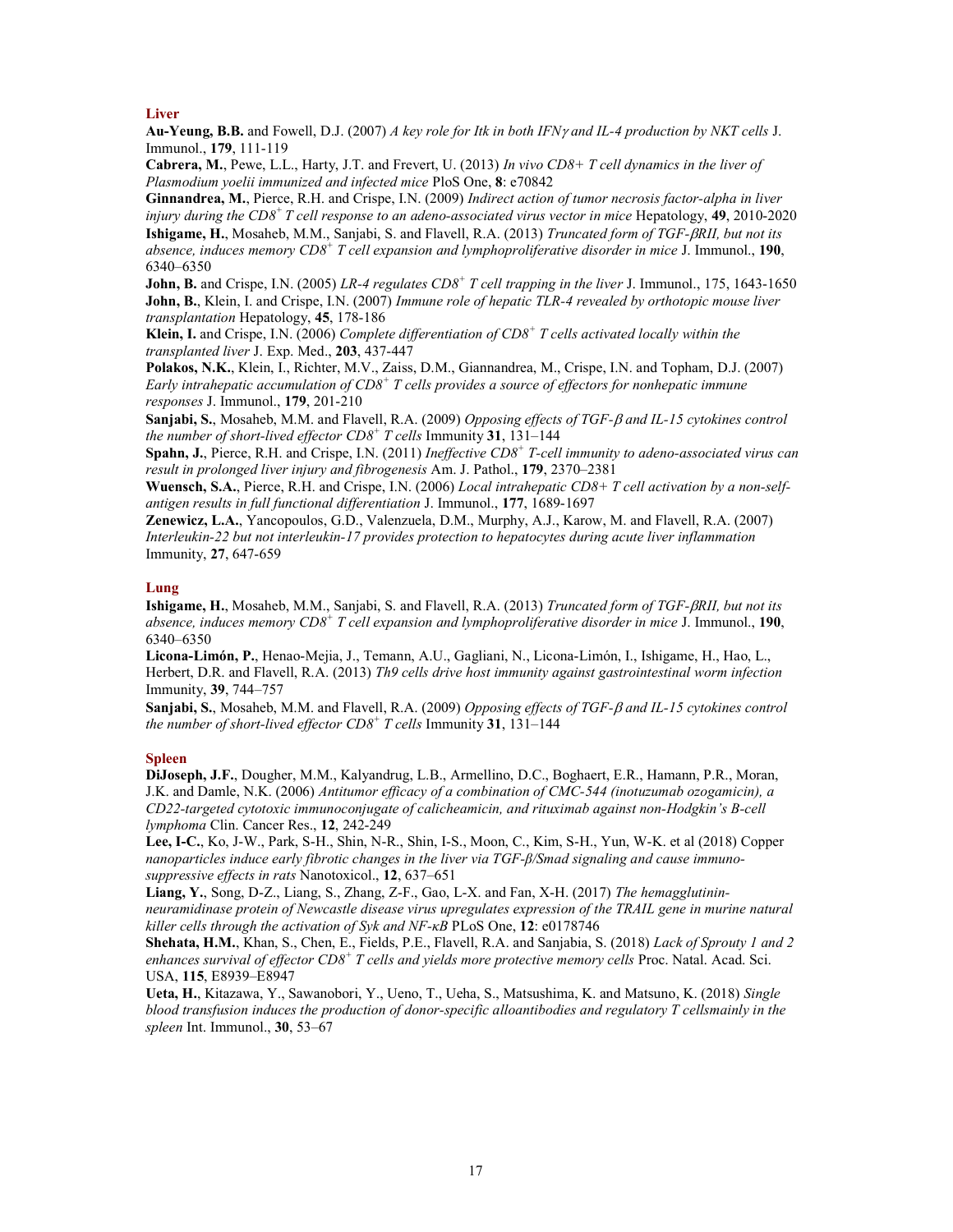### Liver

Au-Yeung, B.B. and Fowell, D.J. (2007) A key role for Itk in both IFNy and IL-4 production by NKT cells J. Immunol., 179, 111-119

Cabrera, M., Pewe, L.L., Harty, J.T. and Frevert, U. (2013) In vivo CD8+ T cell dynamics in the liver of Plasmodium voelii immunized and infected mice PloS One, 8: e70842

Ginnandrea, M., Pierce, R.H. and Crispe, I.N. (2009) Indirect action of tumor necrosis factor-alpha in liver injury during the CD8<sup>+</sup>T cell response to an adeno-associated virus vector in mice Hepatology, **49**, 2010-2020 Ishigame, H., Mosaheb, M.M., Sanjabi, S. and Flavell, R.A. (2013) Truncated form of TGF-BRII, but not its absence, induces memory  $CD8^+$  T cell expansion and lymphoproliferative disorder in mice J. Immunol., 190, 6340–6350

**John, B.** and Crispe, I.N. (2005) LR-4 regulates  $CD8^+$  T cell trapping in the liver J. Immunol., 175, 1643-1650 John, B., Klein, I. and Crispe, I.N. (2007) Immune role of hepatic TLR-4 revealed by orthotopic mouse liver transplantation Hepatology, 45, 178-186

Klein, I. and Crispe, I.N. (2006) Complete differentiation of  $CD8^+$  T cells activated locally within the transplanted liver J. Exp. Med., 203, 437-447

Polakos, N.K., Klein, I., Richter, M.V., Zaiss, D.M., Giannandrea, M., Crispe, I.N. and Topham, D.J. (2007) Early intrahepatic accumulation of  $CDS<sup>+</sup>$  T cells provides a source of effectors for nonhepatic immune responses J. Immunol., 179, 201-210

Sanjabi, S., Mosaheb, M.M. and Flavell, R.A. (2009) Opposing effects of TGF- $\beta$  and IL-15 cytokines control the number of short-lived effector  $CD8^+$  T cells Immunity 31, 131–144

Spahn, J., Pierce, R.H. and Crispe, I.N. (2011) Ineffective  $CD8<sup>+</sup>$  T-cell immunity to adeno-associated virus can result in prolonged liver injury and fibrogenesis Am. J. Pathol., 179, 2370–2381

Wuensch, S.A., Pierce, R.H. and Crispe, I.N. (2006) Local intrahepatic CD8+ T cell activation by a non-selfantigen results in full functional differentiation J. Immunol., 177, 1689-1697

Zenewicz, L.A., Yancopoulos, G.D., Valenzuela, D.M., Murphy, A.J., Karow, M. and Flavell, R.A. (2007) Interleukin-22 but not interleukin-17 provides protection to hepatocytes during acute liver inflammation Immunity, 27, 647-659

### Lung

Ishigame, H., Mosaheb, M.M., Sanjabi, S. and Flavell, R.A. (2013) Truncated form of TGF- $\beta$ RII, but not its absence, induces memory  $CD8^+$  T cell expansion and lymphoproliferative disorder in mice J. Immunol., 190, 6340–6350

Licona-Limón, P., Henao-Mejia, J., Temann, A.U., Gagliani, N., Licona-Limón, I., Ishigame, H., Hao, L., Herbert, D.R. and Flavell, R.A. (2013) Th9 cells drive host immunity against gastrointestinal worm infection Immunity, 39, 744–757

Sanjabi, S., Mosaheb, M.M. and Flavell, R.A. (2009) Opposing effects of TGF- $\beta$  and IL-15 cytokines control the number of short-lived effector  $CD8^+$  T cells Immunity 31, 131–144

### Spleen

DiJoseph, J.F., Dougher, M.M., Kalyandrug, L.B., Armellino, D.C., Boghaert, E.R., Hamann, P.R., Moran, J.K. and Damle, N.K. (2006) Antitumor efficacy of a combination of CMC-544 (inotuzumab ozogamicin), a CD22-targeted cytotoxic immunoconjugate of calicheamicin, and rituximab against non-Hodgkin's B-cell lymphoma Clin. Cancer Res., 12, 242-249

Lee, I-C., Ko, J-W., Park, S-H., Shin, N-R., Shin, I-S., Moon, C., Kim, S-H., Yun, W-K. et al (2018) Copper nanoparticles induce early fibrotic changes in the liver via TGF-β/Smad signaling and cause immunosuppressive effects in rats Nanotoxicol., 12, 637–651

Liang, Y., Song, D-Z., Liang, S., Zhang, Z-F., Gao, L-X. and Fan, X-H. (2017) The hemagglutininneuramidinase protein of Newcastle disease virus upregulates expression of the TRAIL gene in murine natural killer cells through the activation of Syk and NF-κB PLoS One, 12: e0178746

Shehata, H.M., Khan, S., Chen, E., Fields, P.E., Flavell, R.A. and Sanjabia, S. (2018) Lack of Sprouty 1 and 2 enhances survival of effector  $CD8^+$  T cells and yields more protective memory cells Proc. Natal. Acad. Sci. USA, 115, E8939–E8947

Ueta, H., Kitazawa, Y., Sawanobori, Y., Ueno, T., Ueha, S., Matsushima, K. and Matsuno, K. (2018) Single blood transfusion induces the production of donor-specific alloantibodies and regulatory T cellsmainly in the spleen Int. Immunol., 30, 53–67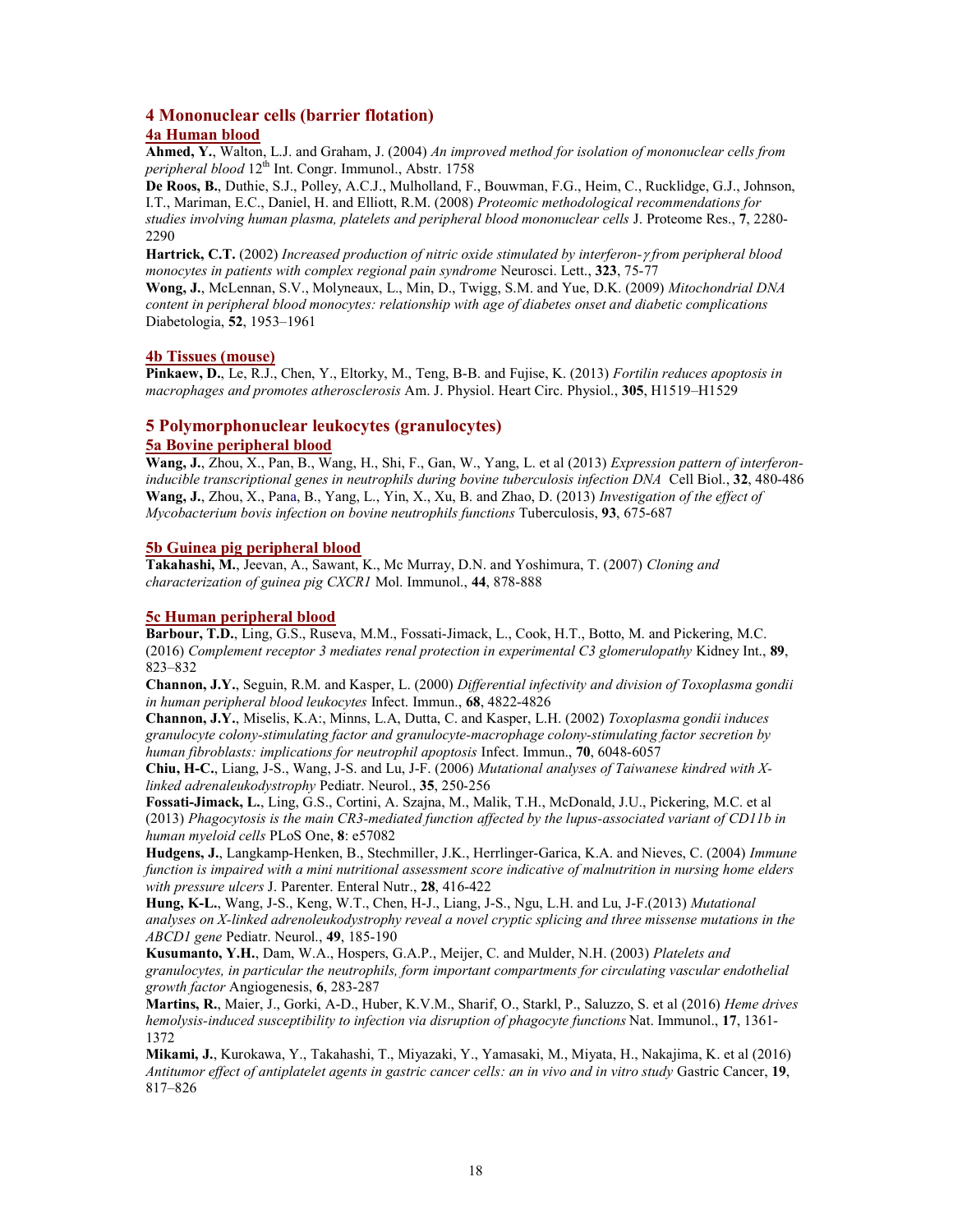## 4 Mononuclear cells (barrier flotation)

## 4a Human blood

Ahmed, Y., Walton, L.J. and Graham, J. (2004) An improved method for isolation of mononuclear cells from peripheral blood  $12^{th}$  Int. Congr. Immunol., Abstr. 1758

De Roos, B., Duthie, S.J., Polley, A.C.J., Mulholland, F., Bouwman, F.G., Heim, C., Rucklidge, G.J., Johnson, I.T., Mariman, E.C., Daniel, H. and Elliott, R.M. (2008) Proteomic methodological recommendations for studies involving human plasma, platelets and peripheral blood mononuclear cells J. Proteome Res., 7, 2280- 2290

Hartrick, C.T. (2002) Increased production of nitric oxide stimulated by interferon-y from peripheral blood monocytes in patients with complex regional pain syndrome Neurosci. Lett., 323, 75-77

Wong, J., McLennan, S.V., Molyneaux, L., Min, D., Twigg, S.M. and Yue, D.K. (2009) Mitochondrial DNA content in peripheral blood monocytes: relationship with age of diabetes onset and diabetic complications Diabetologia, 52, 1953–1961

## 4b Tissues (mouse)

Pinkaew, D., Le, R.J., Chen, Y., Eltorky, M., Teng, B-B. and Fujise, K. (2013) Fortilin reduces apoptosis in macrophages and promotes atherosclerosis Am. J. Physiol. Heart Circ. Physiol., 305, H1519–H1529

## 5 Polymorphonuclear leukocytes (granulocytes)

## 5a Bovine peripheral blood

Wang, J., Zhou, X., Pan, B., Wang, H., Shi, F., Gan, W., Yang, L. et al (2013) Expression pattern of interferoninducible transcriptional genes in neutrophils during bovine tuberculosis infection DNA Cell Biol., 32, 480-486 Wang, J., Zhou, X., Pana, B., Yang, L., Yin, X., Xu, B. and Zhao, D. (2013) Investigation of the effect of Mycobacterium bovis infection on bovine neutrophils functions Tuberculosis, 93, 675-687

## 5b Guinea pig peripheral blood

Takahashi, M., Jeevan, A., Sawant, K., Mc Murray, D.N. and Yoshimura, T. (2007) Cloning and characterization of guinea pig CXCR1 Mol. Immunol., 44, 878-888

## 5c Human peripheral blood

Barbour, T.D., Ling, G.S., Ruseva, M.M., Fossati-Jimack, L., Cook, H.T., Botto, M. and Pickering, M.C. (2016) Complement receptor 3 mediates renal protection in experimental C3 glomerulopathy Kidney Int., 89, 823–832

Channon, J.Y., Seguin, R.M. and Kasper, L. (2000) Differential infectivity and division of Toxoplasma gondii in human peripheral blood leukocytes Infect. Immun., 68, 4822-4826

Channon, J.Y., Miselis, K.A:, Minns, L.A, Dutta, C. and Kasper, L.H. (2002) Toxoplasma gondii induces granulocyte colony-stimulating factor and granulocyte-macrophage colony-stimulating factor secretion by human fibroblasts: implications for neutrophil apoptosis Infect. Immun., 70, 6048-6057

Chiu, H-C., Liang, J-S., Wang, J-S. and Lu, J-F. (2006) Mutational analyses of Taiwanese kindred with Xlinked adrenaleukodystrophy Pediatr. Neurol., 35, 250-256

Fossati-Jimack, L., Ling, G.S., Cortini, A. Szajna, M., Malik, T.H., McDonald, J.U., Pickering, M.C. et al (2013) Phagocytosis is the main CR3-mediated function affected by the lupus-associated variant of CD11b in human myeloid cells PLoS One, 8: e57082

Hudgens, J., Langkamp-Henken, B., Stechmiller, J.K., Herrlinger-Garica, K.A. and Nieves, C. (2004) Immune function is impaired with a mini nutritional assessment score indicative of malnutrition in nursing home elders with pressure ulcers J. Parenter. Enteral Nutr., 28, 416-422

Hung, K-L., Wang, J-S., Keng, W.T., Chen, H-J., Liang, J-S., Ngu, L.H. and Lu, J-F.(2013) Mutational analyses on X-linked adrenoleukodystrophy reveal a novel cryptic splicing and three missense mutations in the ABCD1 gene Pediatr. Neurol., 49, 185-190

Kusumanto, Y.H., Dam, W.A., Hospers, G.A.P., Meijer, C. and Mulder, N.H. (2003) Platelets and granulocytes, in particular the neutrophils, form important compartments for circulating vascular endothelial growth factor Angiogenesis, 6, 283-287

Martins, R., Maier, J., Gorki, A-D., Huber, K.V.M., Sharif, O., Starkl, P., Saluzzo, S. et al (2016) Heme drives hemolysis-induced susceptibility to infection via disruption of phagocyte functions Nat. Immunol., 17, 1361-1372

Mikami, J., Kurokawa, Y., Takahashi, T., Miyazaki, Y., Yamasaki, M., Miyata, H., Nakajima, K. et al (2016) Antitumor effect of antiplatelet agents in gastric cancer cells: an in vivo and in vitro study Gastric Cancer, 19, 817–826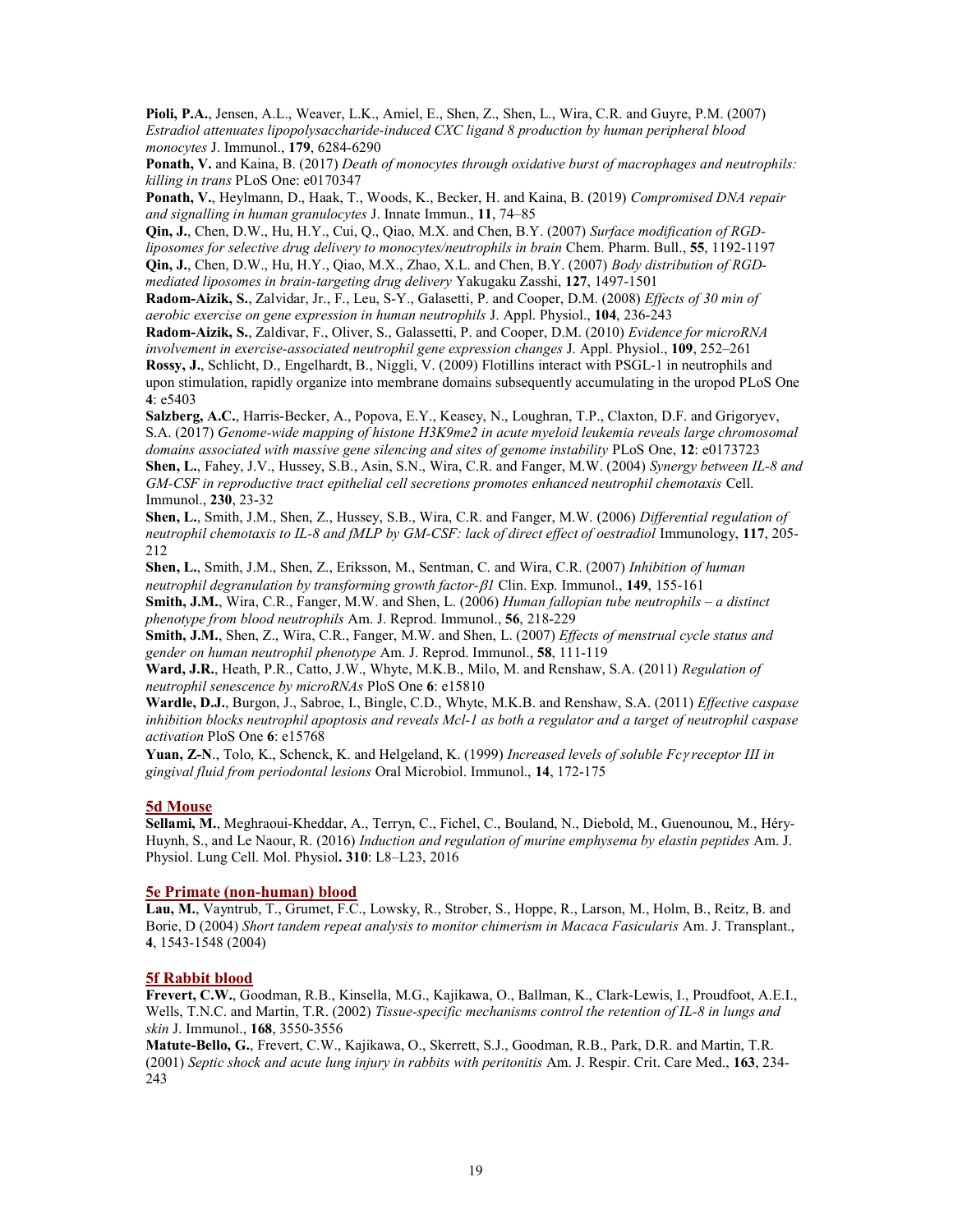Pioli, P.A., Jensen, A.L., Weaver, L.K., Amiel, E., Shen, Z., Shen, L., Wira, C.R. and Guyre, P.M. (2007) Estradiol attenuates lipopolysaccharide-induced CXC ligand 8 production by human peripheral blood monocytes J. Immunol., 179, 6284-6290

Ponath, V. and Kaina, B. (2017) Death of monocytes through oxidative burst of macrophages and neutrophils: killing in trans PLoS One: e0170347

Ponath, V., Heylmann, D., Haak, T., Woods, K., Becker, H. and Kaina, B. (2019) Compromised DNA repair and signalling in human granulocytes J. Innate Immun., 11, 74–85

Qin, J., Chen, D.W., Hu, H.Y., Cui, Q., Qiao, M.X. and Chen, B.Y. (2007) Surface modification of RGDliposomes for selective drug delivery to monocytes/neutrophils in brain Chem. Pharm. Bull., 55, 1192-1197 Qin, J., Chen, D.W., Hu, H.Y., Qiao, M.X., Zhao, X.L. and Chen, B.Y. (2007) Body distribution of RGDmediated liposomes in brain-targeting drug delivery Yakugaku Zasshi, 127, 1497-1501

Radom-Aizik, S., Zalvidar, Jr., F., Leu, S-Y., Galasetti, P. and Cooper, D.M. (2008) Effects of 30 min of aerobic exercise on gene expression in human neutrophils J. Appl. Physiol., 104, 236-243

Radom-Aizik, S., Zaldivar, F., Oliver, S., Galassetti, P. and Cooper, D.M. (2010) Evidence for microRNA involvement in exercise-associated neutrophil gene expression changes J. Appl. Physiol., 109, 252–261 Rossy, J., Schlicht, D., Engelhardt, B., Niggli, V. (2009) Flotillins interact with PSGL-1 in neutrophils and upon stimulation, rapidly organize into membrane domains subsequently accumulating in the uropod PLoS One 4: e5403

Salzberg, A.C., Harris-Becker, A., Popova, E.Y., Keasey, N., Loughran, T.P., Claxton, D.F. and Grigoryev, S.A. (2017) Genome-wide mapping of histone H3K9me2 in acute myeloid leukemia reveals large chromosomal domains associated with massive gene silencing and sites of genome instability PLoS One, 12: e0173723 Shen, L., Fahey, J.V., Hussey, S.B., Asin, S.N., Wira, C.R. and Fanger, M.W. (2004) Synergy between IL-8 and GM-CSF in reproductive tract epithelial cell secretions promotes enhanced neutrophil chemotaxis Cell. Immunol., 230, 23-32

Shen, L., Smith, J.M., Shen, Z., Hussey, S.B., Wira, C.R. and Fanger, M.W. (2006) Differential regulation of neutrophil chemotaxis to IL-8 and fMLP by GM-CSF: lack of direct effect of oestradiol Immunology, 117, 205- 212

Shen, L., Smith, J.M., Shen, Z., Eriksson, M., Sentman, C. and Wira, C.R. (2007) Inhibition of human neutrophil degranulation by transforming growth factor- $\beta$ I Clin. Exp. Immunol., 149, 155-161 Smith, J.M., Wira, C.R., Fanger, M.W. and Shen, L. (2006) Human fallopian tube neutrophils – a distinct

phenotype from blood neutrophils Am. J. Reprod. Immunol., 56, 218-229

Smith, J.M., Shen, Z., Wira, C.R., Fanger, M.W. and Shen, L. (2007) Effects of menstrual cycle status and gender on human neutrophil phenotype Am. J. Reprod. Immunol., 58, 111-119

Ward, J.R., Heath, P.R., Catto, J.W., Whyte, M.K.B., Milo, M. and Renshaw, S.A. (2011) Regulation of neutrophil senescence by microRNAs PloS One 6: e15810

Wardle, D.J., Burgon, J., Sabroe, I., Bingle, C.D., Whyte, M.K.B. and Renshaw, S.A. (2011) Effective caspase inhibition blocks neutrophil apoptosis and reveals Mcl-1 as both a regulator and a target of neutrophil caspase activation PloS One 6: e15768

Yuan, Z-N., Tolo, K., Schenck, K. and Helgeland, K. (1999) Increased levels of soluble Fcy receptor III in gingival fluid from periodontal lesions Oral Microbiol. Immunol., 14, 172-175

## 5d Mouse

Sellami, M., Meghraoui-Kheddar, A., Terryn, C., Fichel, C., Bouland, N., Diebold, M., Guenounou, M., Héry-Huynh, S., and Le Naour, R. (2016) Induction and regulation of murine emphysema by elastin peptides Am. J. Physiol. Lung Cell. Mol. Physiol. 310: L8–L23, 2016

## 5e Primate (non-human) blood

Lau, M., Vayntrub, T., Grumet, F.C., Lowsky, R., Strober, S., Hoppe, R., Larson, M., Holm, B., Reitz, B. and Borie, D (2004) Short tandem repeat analysis to monitor chimerism in Macaca Fasicularis Am. J. Transplant., 4, 1543-1548 (2004)

## 5f Rabbit blood

Frevert, C.W., Goodman, R.B., Kinsella, M.G., Kajikawa, O., Ballman, K., Clark-Lewis, I., Proudfoot, A.E.I., Wells, T.N.C. and Martin, T.R. (2002) Tissue-specific mechanisms control the retention of IL-8 in lungs and skin J. Immunol., 168, 3550-3556

Matute-Bello, G., Frevert, C.W., Kajikawa, O., Skerrett, S.J., Goodman, R.B., Park, D.R. and Martin, T.R. (2001) Septic shock and acute lung injury in rabbits with peritonitis Am. J. Respir. Crit. Care Med., 163, 234-243